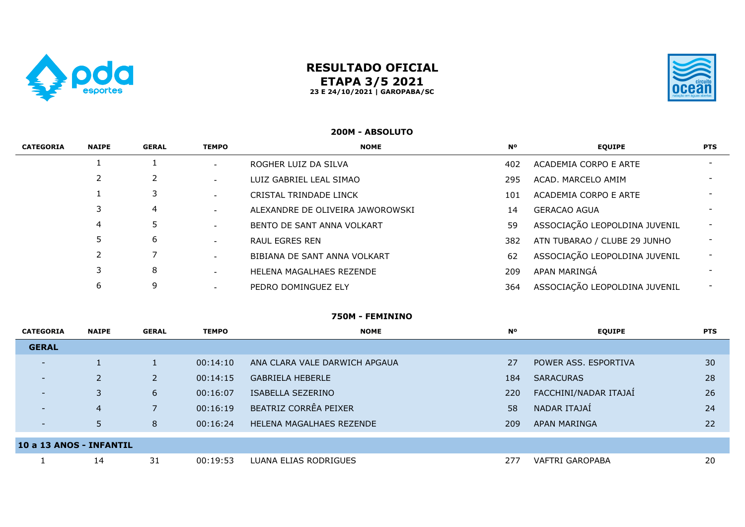

# **RESULTADO OFICIAL ETAPA 3/5 2021 23 E 24/10/2021 | GAROPABA/SC**



## **200M - ABSOLUTO**

| <b>CATEGORIA</b> | <b>NAIPE</b> | <b>GERAL</b> | <b>TEMPO</b>             | <b>NOME</b>                      | <b>N°</b> | <b>EQUIPE</b>                 | <b>PTS</b>               |
|------------------|--------------|--------------|--------------------------|----------------------------------|-----------|-------------------------------|--------------------------|
|                  |              |              | $\overline{\phantom{a}}$ | ROGHER LUIZ DA SILVA             | 402       | ACADEMIA CORPO E ARTE         | $\overline{\phantom{0}}$ |
|                  |              |              | $\overline{\phantom{0}}$ | LUIZ GABRIEL LEAL SIMAO          | 295       | ACAD, MARCELO AMIM            |                          |
|                  |              |              | $\overline{\phantom{a}}$ | CRISTAL TRINDADE LINCK           | 101       | ACADEMIA CORPO E ARTE         | $\overline{\phantom{0}}$ |
|                  |              | 4            | $\overline{\phantom{a}}$ | ALEXANDRE DE OLIVEIRA JAWOROWSKI | 14        | <b>GERACAO AGUA</b>           |                          |
|                  | 4            |              | $\overline{\phantom{a}}$ | BENTO DE SANT ANNA VOLKART       | 59        | ASSOCIAÇÃO LEOPOLDINA JUVENIL | $\overline{\phantom{0}}$ |
|                  |              | 6            | $\overline{\phantom{a}}$ | RAUL EGRES REN                   | 382       | ATN TUBARAO / CLUBE 29 JUNHO  |                          |
|                  |              |              | $\overline{\phantom{0}}$ | BIBIANA DE SANT ANNA VOLKART     | 62        | ASSOCIAÇÃO LEOPOLDINA JUVENIL |                          |
|                  |              | 8            | $\overline{\phantom{0}}$ | HELENA MAGALHAES REZENDE         | 209       | APAN MARINGÁ                  |                          |
|                  | 6            | 9            |                          | PEDRO DOMINGUEZ ELY              | 364       | ASSOCIAÇÃO LEOPOLDINA JUVENIL | $\sim$                   |

### **750M - FEMININO**

| <b>CATEGORIA</b>         | <b>NAIPE</b>   | <b>GERAL</b>   | <b>TEMPO</b> | <b>NOME</b>                   | <b>N°</b> | <b>EQUIPE</b>         | <b>PTS</b> |
|--------------------------|----------------|----------------|--------------|-------------------------------|-----------|-----------------------|------------|
| <b>GERAL</b>             |                |                |              |                               |           |                       |            |
| $\overline{\phantom{0}}$ |                |                | 00:14:10     | ANA CLARA VALE DARWICH APGAUA | 27        | POWER ASS, ESPORTIVA  | 30         |
| $\overline{\phantom{0}}$ |                | $\overline{2}$ | 00:14:15     | <b>GABRIELA HEBERLE</b>       | 184       | <b>SARACURAS</b>      | 28         |
| $\overline{\phantom{0}}$ | 3              | 6              | 00:16:07     | ISABELLA SEZERINO             | 220       | FACCHINI/NADAR ITAJAÍ | 26         |
|                          | $\overline{4}$ |                | 00:16:19     | BEATRIZ CORRÊA PEIXER         | 58        | NADAR ITAJAÍ          | 24         |
| $\overline{\phantom{0}}$ | 5              | 8              | 00:16:24     | HELENA MAGALHAES REZENDE      | 209       | APAN MARINGA          | 22         |
| 10 a 13 ANOS - INFANTIL  |                |                |              |                               |           |                       |            |
|                          | 14             | 31             | 00:19:53     | LUANA ELIAS RODRIGUES         | 277       | VAFTRI GAROPABA       | 20         |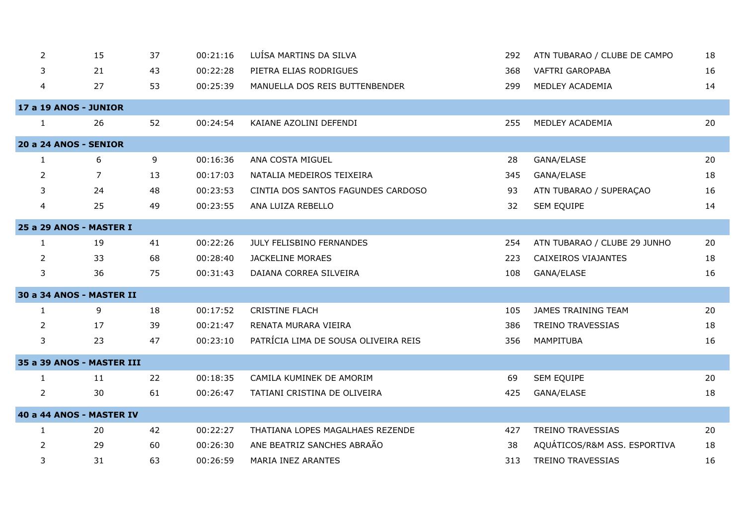| $\overline{2}$ | 15                           | 37 | 00:21:16 | LUÍSA MARTINS DA SILVA               | 292 | ATN TUBARAO / CLUBE DE CAMPO | 18 |
|----------------|------------------------------|----|----------|--------------------------------------|-----|------------------------------|----|
| 3              | 21                           | 43 | 00:22:28 | PIETRA ELIAS RODRIGUES               | 368 | <b>VAFTRI GAROPABA</b>       | 16 |
| 4              | 27                           | 53 | 00:25:39 | MANUELLA DOS REIS BUTTENBENDER       | 299 | MEDLEY ACADEMIA              | 14 |
|                | <b>17 a 19 ANOS - JUNIOR</b> |    |          |                                      |     |                              |    |
| $\mathbf{1}$   | 26                           | 52 | 00:24:54 | KAIANE AZOLINI DEFENDI               | 255 | MEDLEY ACADEMIA              | 20 |
|                | <b>20 a 24 ANOS - SENIOR</b> |    |          |                                      |     |                              |    |
| 1              | 6                            | 9  | 00:16:36 | ANA COSTA MIGUEL                     | 28  | GANA/ELASE                   | 20 |
| 2              | $\overline{7}$               | 13 | 00:17:03 | NATALIA MEDEIROS TEIXEIRA            | 345 | GANA/ELASE                   | 18 |
| 3              | 24                           | 48 | 00:23:53 | CINTIA DOS SANTOS FAGUNDES CARDOSO   | 93  | ATN TUBARAO / SUPERAÇAO      | 16 |
| 4              | 25                           | 49 | 00:23:55 | ANA LUIZA REBELLO                    | 32  | SEM EQUIPE                   | 14 |
|                | 25 a 29 ANOS - MASTER I      |    |          |                                      |     |                              |    |
| $\mathbf{1}$   | 19                           | 41 | 00:22:26 | JULY FELISBINO FERNANDES             | 254 | ATN TUBARAO / CLUBE 29 JUNHO | 20 |
| 2              | 33                           | 68 | 00:28:40 | <b>JACKELINE MORAES</b>              | 223 | CAIXEIROS VIAJANTES          | 18 |
| 3              | 36                           | 75 | 00:31:43 | DAIANA CORREA SILVEIRA               | 108 | GANA/ELASE                   | 16 |
|                | 30 a 34 ANOS - MASTER II     |    |          |                                      |     |                              |    |
| 1              | 9                            | 18 | 00:17:52 | <b>CRISTINE FLACH</b>                | 105 | JAMES TRAINING TEAM          | 20 |
| $\overline{2}$ | 17                           | 39 | 00:21:47 | RENATA MURARA VIEIRA                 | 386 | TREINO TRAVESSIAS            | 18 |
| 3              | 23                           | 47 | 00:23:10 | PATRÍCIA LIMA DE SOUSA OLIVEIRA REIS | 356 | MAMPITUBA                    | 16 |
|                | 35 a 39 ANOS - MASTER III    |    |          |                                      |     |                              |    |
| $\mathbf{1}$   | 11                           | 22 | 00:18:35 | CAMILA KUMINEK DE AMORIM             | 69  | <b>SEM EQUIPE</b>            | 20 |
| $\overline{2}$ | 30                           | 61 | 00:26:47 | TATIANI CRISTINA DE OLIVEIRA         | 425 | GANA/ELASE                   | 18 |
|                | 40 a 44 ANOS - MASTER IV     |    |          |                                      |     |                              |    |
| 1              | 20                           | 42 | 00:22:27 | THATIANA LOPES MAGALHAES REZENDE     | 427 | <b>TREINO TRAVESSIAS</b>     | 20 |
| 2              | 29                           | 60 | 00:26:30 | ANE BEATRIZ SANCHES ABRAÃO           | 38  | AQUÁTICOS/R&M ASS. ESPORTIVA | 18 |
| 3              | 31                           | 63 | 00:26:59 | MARIA INEZ ARANTES                   | 313 | <b>TREINO TRAVESSIAS</b>     | 16 |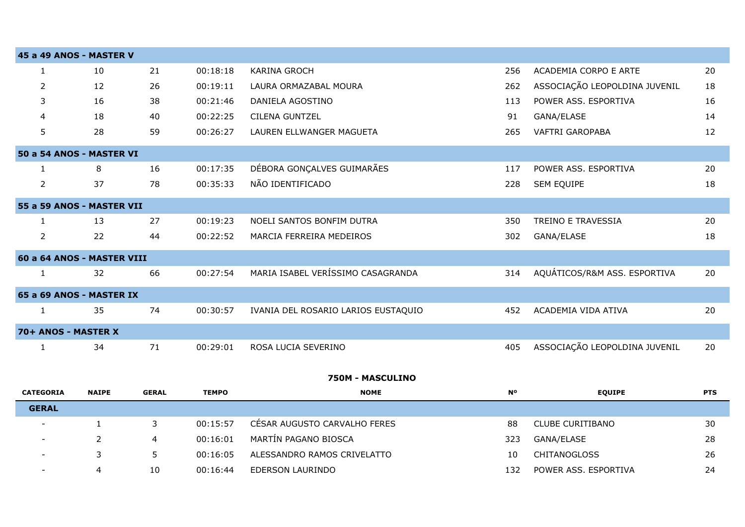|                | 45 a 49 ANOS - MASTER V    |    |          |                                     |     |                               |    |
|----------------|----------------------------|----|----------|-------------------------------------|-----|-------------------------------|----|
|                | 10                         | 21 | 00:18:18 | <b>KARINA GROCH</b>                 | 256 | ACADEMIA CORPO E ARTE         | 20 |
| 2              | 12                         | 26 | 00:19:11 | LAURA ORMAZABAL MOURA               | 262 | ASSOCIAÇÃO LEOPOLDINA JUVENIL | 18 |
| 3              | 16                         | 38 | 00:21:46 | DANIELA AGOSTINO                    | 113 | POWER ASS. ESPORTIVA          | 16 |
| 4              | 18                         | 40 | 00:22:25 | <b>CILENA GUNTZEL</b>               | 91  | GANA/ELASE                    | 14 |
| 5.             | 28                         | 59 | 00:26:27 | LAUREN ELLWANGER MAGUETA            | 265 | <b>VAFTRI GAROPABA</b>        | 12 |
|                | 50 a 54 ANOS - MASTER VI   |    |          |                                     |     |                               |    |
|                | 8                          | 16 | 00:17:35 | DÉBORA GONÇALVES GUIMARÃES          | 117 | POWER ASS. ESPORTIVA          | 20 |
| $\overline{2}$ | 37                         | 78 | 00:35:33 | NÃO IDENTIFICADO                    | 228 | SEM EQUIPE                    | 18 |
|                | 55 a 59 ANOS - MASTER VII  |    |          |                                     |     |                               |    |
|                | 13                         | 27 | 00:19:23 | NOELI SANTOS BONFIM DUTRA           | 350 | TREINO E TRAVESSIA            | 20 |
| $\overline{2}$ | 22                         | 44 | 00:22:52 | MARCIA FERREIRA MEDEIROS            | 302 | GANA/ELASE                    | 18 |
|                | 60 a 64 ANOS - MASTER VIII |    |          |                                     |     |                               |    |
|                | 32                         | 66 | 00:27:54 | MARIA ISABEL VERÍSSIMO CASAGRANDA   | 314 | AQUÁTICOS/R&M ASS. ESPORTIVA  | 20 |
|                | 65 a 69 ANOS - MASTER IX   |    |          |                                     |     |                               |    |
|                | 35                         | 74 | 00:30:57 | IVANIA DEL ROSARIO LARIOS EUSTAQUIO | 452 | ACADEMIA VIDA ATIVA           | 20 |
|                | 70+ ANOS - MASTER X        |    |          |                                     |     |                               |    |
|                | 34                         | 71 | 00:29:01 | ROSA LUCIA SEVERINO                 | 405 | ASSOCIAÇÃO LEOPOLDINA JUVENIL | 20 |

## **750M - MASCULINO**

| <b>CATEGORIA</b>         | <b>NAIPE</b> | <b>GERAL</b> | <b>TEMPO</b> | <b>NOME</b>                  | <b>No</b> | <b>EQUIPE</b>        | <b>PTS</b> |
|--------------------------|--------------|--------------|--------------|------------------------------|-----------|----------------------|------------|
| <b>GERAL</b>             |              |              |              |                              |           |                      |            |
|                          |              |              | 00:15:57     | CESAR AUGUSTO CARVALHO FERES | 88        | CLUBE CURITIBANO     | 30         |
| $\overline{\phantom{a}}$ |              | 4            | 00:16:01     | MARTIN PAGANO BIOSCA         | 323       | GANA/ELASE           | 28         |
| -                        |              |              | 00:16:05     | ALESSANDRO RAMOS CRIVELATTO  | 10        | <b>CHITANOGLOSS</b>  | 26         |
| $\overline{\phantom{0}}$ | 4            | 10           | 00:16:44     | EDERSON LAURINDO             | 132       | POWER ASS, ESPORTIVA | 24         |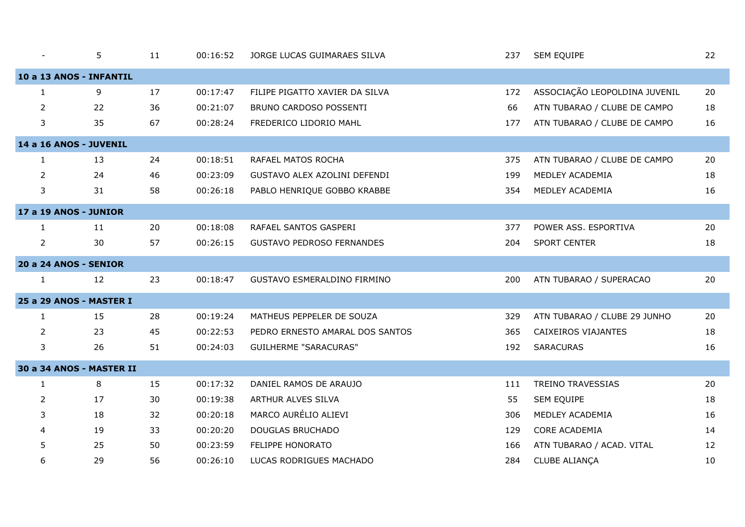|                | 5                            | 11 | 00:16:52 | JORGE LUCAS GUIMARAES SILVA      | 237 | SEM EQUIPE                    | 22 |
|----------------|------------------------------|----|----------|----------------------------------|-----|-------------------------------|----|
|                | 10 a 13 ANOS - INFANTIL      |    |          |                                  |     |                               |    |
| $\mathbf{1}$   | 9                            | 17 | 00:17:47 | FILIPE PIGATTO XAVIER DA SILVA   | 172 | ASSOCIAÇÃO LEOPOLDINA JUVENIL | 20 |
| 2              | 22                           | 36 | 00:21:07 | BRUNO CARDOSO POSSENTI           | 66  | ATN TUBARAO / CLUBE DE CAMPO  | 18 |
| 3              | 35                           | 67 | 00:28:24 | FREDERICO LIDORIO MAHL           | 177 | ATN TUBARAO / CLUBE DE CAMPO  | 16 |
|                | 14 a 16 ANOS - JUVENIL       |    |          |                                  |     |                               |    |
| $\mathbf{1}$   | 13                           | 24 | 00:18:51 | RAFAEL MATOS ROCHA               | 375 | ATN TUBARAO / CLUBE DE CAMPO  | 20 |
| $\overline{2}$ | 24                           | 46 | 00:23:09 | GUSTAVO ALEX AZOLINI DEFENDI     | 199 | MEDLEY ACADEMIA               | 18 |
| 3              | 31                           | 58 | 00:26:18 | PABLO HENRIQUE GOBBO KRABBE      | 354 | MEDLEY ACADEMIA               | 16 |
|                | 17 a 19 ANOS - JUNIOR        |    |          |                                  |     |                               |    |
| $\mathbf{1}$   | 11                           | 20 | 00:18:08 | RAFAEL SANTOS GASPERI            | 377 | POWER ASS. ESPORTIVA          | 20 |
| $\overline{2}$ | 30                           | 57 | 00:26:15 | <b>GUSTAVO PEDROSO FERNANDES</b> | 204 | <b>SPORT CENTER</b>           | 18 |
|                | <b>20 a 24 ANOS - SENIOR</b> |    |          |                                  |     |                               |    |
| $\mathbf{1}$   | 12                           | 23 | 00:18:47 | GUSTAVO ESMERALDINO FIRMINO      | 200 | ATN TUBARAO / SUPERACAO       | 20 |
|                | 25 a 29 ANOS - MASTER I      |    |          |                                  |     |                               |    |
| $\mathbf{1}$   | 15                           | 28 | 00:19:24 | MATHEUS PEPPELER DE SOUZA        | 329 | ATN TUBARAO / CLUBE 29 JUNHO  | 20 |
| 2              | 23                           | 45 | 00:22:53 | PEDRO ERNESTO AMARAL DOS SANTOS  | 365 | CAIXEIROS VIAJANTES           | 18 |
| 3              | 26                           | 51 | 00:24:03 | <b>GUILHERME "SARACURAS"</b>     | 192 | <b>SARACURAS</b>              | 16 |
|                | 30 a 34 ANOS - MASTER II     |    |          |                                  |     |                               |    |
| $\mathbf{1}$   | 8                            | 15 | 00:17:32 | DANIEL RAMOS DE ARAUJO           | 111 | TREINO TRAVESSIAS             | 20 |
| 2              | 17                           | 30 | 00:19:38 | ARTHUR ALVES SILVA               | 55  | SEM EQUIPE                    | 18 |
| 3              | 18                           | 32 | 00:20:18 | MARCO AURÉLIO ALIEVI             | 306 | MEDLEY ACADEMIA               | 16 |
| 4              | 19                           | 33 | 00:20:20 | DOUGLAS BRUCHADO                 | 129 | CORE ACADEMIA                 | 14 |
| 5              | 25                           | 50 | 00:23:59 | FELIPPE HONORATO                 | 166 | ATN TUBARAO / ACAD. VITAL     | 12 |
| 6              | 29                           | 56 | 00:26:10 | LUCAS RODRIGUES MACHADO          | 284 | CLUBE ALIANÇA                 | 10 |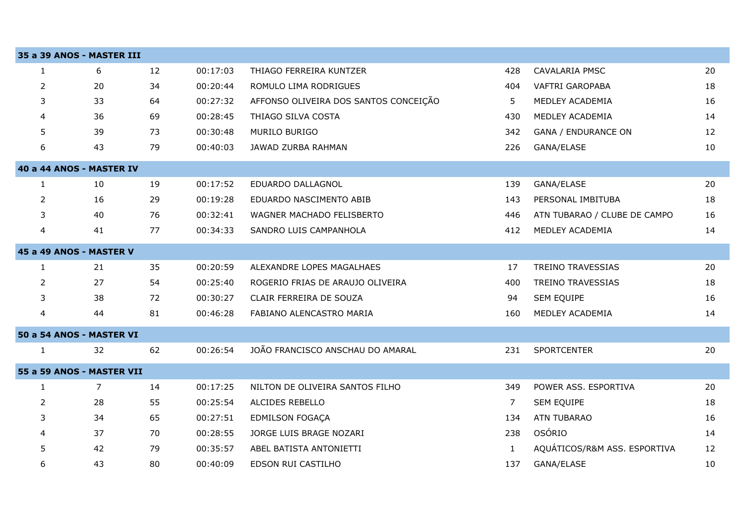|                | 35 a 39 ANOS - MASTER III |    |          |                                       |              |                              |    |
|----------------|---------------------------|----|----------|---------------------------------------|--------------|------------------------------|----|
| 1              | 6                         | 12 | 00:17:03 | THIAGO FERREIRA KUNTZER               | 428          | <b>CAVALARIA PMSC</b>        | 20 |
| $\overline{2}$ | 20                        | 34 | 00:20:44 | ROMULO LIMA RODRIGUES                 | 404          | VAFTRI GAROPABA              | 18 |
| 3              | 33                        | 64 | 00:27:32 | AFFONSO OLIVEIRA DOS SANTOS CONCEIÇÃO | 5            | MEDLEY ACADEMIA              | 16 |
| 4              | 36                        | 69 | 00:28:45 | THIAGO SILVA COSTA                    | 430          | MEDLEY ACADEMIA              | 14 |
| 5              | 39                        | 73 | 00:30:48 | MURILO BURIGO                         | 342          | <b>GANA / ENDURANCE ON</b>   | 12 |
| 6              | 43                        | 79 | 00:40:03 | JAWAD ZURBA RAHMAN                    | 226          | GANA/ELASE                   | 10 |
|                | 40 a 44 ANOS - MASTER IV  |    |          |                                       |              |                              |    |
| $\mathbf{1}$   | 10                        | 19 | 00:17:52 | EDUARDO DALLAGNOL                     | 139          | GANA/ELASE                   | 20 |
| $\overline{2}$ | 16                        | 29 | 00:19:28 | EDUARDO NASCIMENTO ABIB               | 143          | PERSONAL IMBITUBA            | 18 |
| 3              | 40                        | 76 | 00:32:41 | WAGNER MACHADO FELISBERTO             | 446          | ATN TUBARAO / CLUBE DE CAMPO | 16 |
| 4              | 41                        | 77 | 00:34:33 | SANDRO LUIS CAMPANHOLA                | 412          | MEDLEY ACADEMIA              | 14 |
|                | 45 a 49 ANOS - MASTER V   |    |          |                                       |              |                              |    |
| 1              | 21                        | 35 | 00:20:59 | ALEXANDRE LOPES MAGALHAES             | 17           | TREINO TRAVESSIAS            | 20 |
| $\overline{2}$ | 27                        | 54 | 00:25:40 | ROGERIO FRIAS DE ARAUJO OLIVEIRA      | 400          | <b>TREINO TRAVESSIAS</b>     | 18 |
| 3              | 38                        | 72 | 00:30:27 | CLAIR FERREIRA DE SOUZA               | 94           | SEM EQUIPE                   | 16 |
| 4              | 44                        | 81 | 00:46:28 | FABIANO ALENCASTRO MARIA              | 160          | MEDLEY ACADEMIA              | 14 |
|                | 50 a 54 ANOS - MASTER VI  |    |          |                                       |              |                              |    |
| $\mathbf{1}$   | 32                        | 62 | 00:26:54 | JOÃO FRANCISCO ANSCHAU DO AMARAL      | 231          | <b>SPORTCENTER</b>           | 20 |
|                | 55 a 59 ANOS - MASTER VII |    |          |                                       |              |                              |    |
| 1              | 7                         | 14 | 00:17:25 | NILTON DE OLIVEIRA SANTOS FILHO       | 349          | POWER ASS. ESPORTIVA         | 20 |
| 2              | 28                        | 55 | 00:25:54 | ALCIDES REBELLO                       | 7            | SEM EQUIPE                   | 18 |
| 3              | 34                        | 65 | 00:27:51 | <b>EDMILSON FOGAÇA</b>                | 134          | <b>ATN TUBARAO</b>           | 16 |
| 4              | 37                        | 70 | 00:28:55 | JORGE LUIS BRAGE NOZARI               | 238          | OSÓRIO                       | 14 |
| 5              | 42                        | 79 | 00:35:57 | ABEL BATISTA ANTONIETTI               | $\mathbf{1}$ | AQUÁTICOS/R&M ASS. ESPORTIVA | 12 |
| 6              | 43                        | 80 | 00:40:09 | EDSON RUI CASTILHO                    | 137          | GANA/ELASE                   | 10 |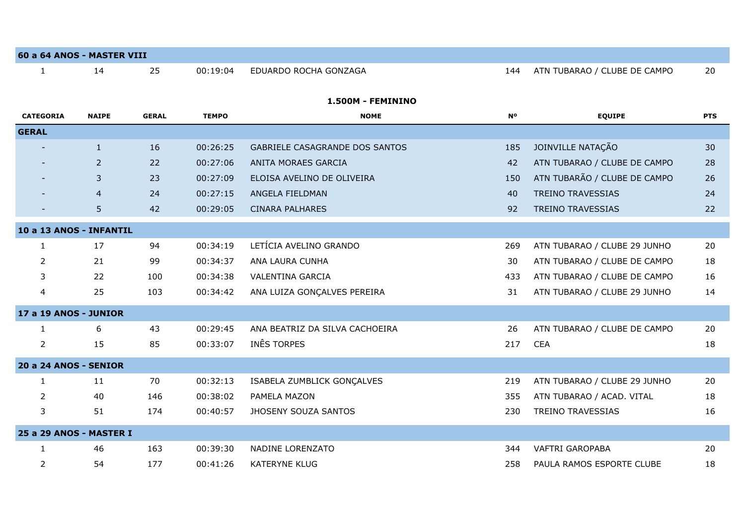| 60 a 64 ANOS - MASTER VIII   |                |              |              |                                |                |                              |            |
|------------------------------|----------------|--------------|--------------|--------------------------------|----------------|------------------------------|------------|
| $\mathbf{1}$                 | 14             | 25           | 00:19:04     | EDUARDO ROCHA GONZAGA          | 144            | ATN TUBARAO / CLUBE DE CAMPO | 20         |
|                              |                |              |              |                                |                |                              |            |
|                              |                |              |              | 1.500M - FEMININO              |                |                              |            |
| <b>CATEGORIA</b>             | <b>NAIPE</b>   | <b>GERAL</b> | <b>TEMPO</b> | <b>NOME</b>                    | N <sub>o</sub> | <b>EQUIPE</b>                | <b>PTS</b> |
| <b>GERAL</b>                 |                |              |              |                                |                |                              |            |
|                              | $\mathbf{1}$   | 16           | 00:26:25     | GABRIELE CASAGRANDE DOS SANTOS | 185            | JOINVILLE NATAÇÃO            | 30         |
|                              | $\overline{2}$ | 22           | 00:27:06     | ANITA MORAES GARCIA            | 42             | ATN TUBARAO / CLUBE DE CAMPO | 28         |
|                              | 3              | 23           | 00:27:09     | ELOISA AVELINO DE OLIVEIRA     | 150            | ATN TUBARÃO / CLUBE DE CAMPO | 26         |
|                              | $\overline{4}$ | 24           | 00:27:15     | ANGELA FIELDMAN                | 40             | <b>TREINO TRAVESSIAS</b>     | 24         |
|                              | 5.             | 42           | 00:29:05     | <b>CINARA PALHARES</b>         | 92             | <b>TREINO TRAVESSIAS</b>     | 22         |
| 10 a 13 ANOS - INFANTIL      |                |              |              |                                |                |                              |            |
| $\mathbf{1}$                 | 17             | 94           | 00:34:19     | LETÍCIA AVELINO GRANDO         | 269            | ATN TUBARAO / CLUBE 29 JUNHO | 20         |
| 2                            | 21             | 99           | 00:34:37     | ANA LAURA CUNHA                | 30             | ATN TUBARAO / CLUBE DE CAMPO | 18         |
| 3                            | 22             | 100          | 00:34:38     | <b>VALENTINA GARCIA</b>        | 433            | ATN TUBARAO / CLUBE DE CAMPO | 16         |
| $\overline{4}$               | 25             | 103          | 00:34:42     | ANA LUIZA GONÇALVES PEREIRA    | 31             | ATN TUBARAO / CLUBE 29 JUNHO | 14         |
| <b>17 a 19 ANOS - JUNIOR</b> |                |              |              |                                |                |                              |            |
| $\mathbf{1}$                 | 6              | 43           | 00:29:45     | ANA BEATRIZ DA SILVA CACHOEIRA | 26             | ATN TUBARAO / CLUBE DE CAMPO | 20         |
| $\overline{2}$               | 15             | 85           | 00:33:07     | INES TORPES                    | 217            | <b>CEA</b>                   | 18         |
| <b>20 a 24 ANOS - SENIOR</b> |                |              |              |                                |                |                              |            |
| $\mathbf{1}$                 | 11             | 70           | 00:32:13     | ISABELA ZUMBLICK GONÇALVES     | 219            | ATN TUBARAO / CLUBE 29 JUNHO | 20         |
| $\overline{2}$               | 40             | 146          | 00:38:02     | PAMELA MAZON                   | 355            | ATN TUBARAO / ACAD. VITAL    | 18         |
| 3                            | 51             | 174          | 00:40:57     | JHOSENY SOUZA SANTOS           | 230            | <b>TREINO TRAVESSIAS</b>     | 16         |
| 25 a 29 ANOS - MASTER I      |                |              |              |                                |                |                              |            |
| $\mathbf{1}$                 | 46             | 163          | 00:39:30     | NADINE LORENZATO               | 344            | <b>VAFTRI GAROPABA</b>       | 20         |
| 2                            | 54             | 177          | 00:41:26     | <b>KATERYNE KLUG</b>           | 258            | PAULA RAMOS ESPORTE CLUBE    | 18         |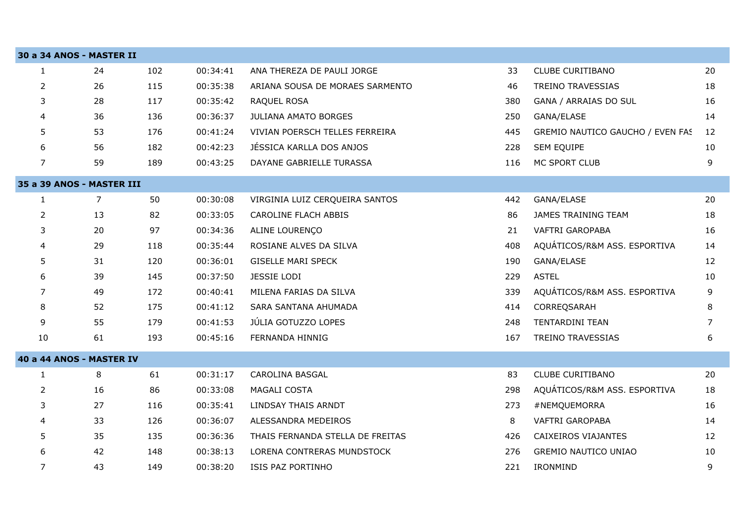|                | 30 a 34 ANOS - MASTER II  |     |          |                                  |     |                                  |                |
|----------------|---------------------------|-----|----------|----------------------------------|-----|----------------------------------|----------------|
| $\mathbf{1}$   | 24                        | 102 | 00:34:41 | ANA THEREZA DE PAULI JORGE       | 33  | <b>CLUBE CURITIBANO</b>          | 20             |
| $\overline{2}$ | 26                        | 115 | 00:35:38 | ARIANA SOUSA DE MORAES SARMENTO  | 46  | TREINO TRAVESSIAS                | 18             |
| 3              | 28                        | 117 | 00:35:42 | RAQUEL ROSA                      | 380 | GANA / ARRAIAS DO SUL            | 16             |
| 4              | 36                        | 136 | 00:36:37 | <b>JULIANA AMATO BORGES</b>      | 250 | GANA/ELASE                       | 14             |
| 5              | 53                        | 176 | 00:41:24 | VIVIAN POERSCH TELLES FERREIRA   | 445 | GREMIO NAUTICO GAUCHO / EVEN FAS | 12             |
| 6              | 56                        | 182 | 00:42:23 | JÉSSICA KARLLA DOS ANJOS         | 228 | SEM EQUIPE                       | 10             |
| $\overline{7}$ | 59                        | 189 | 00:43:25 | DAYANE GABRIELLE TURASSA         | 116 | MC SPORT CLUB                    | 9              |
|                | 35 a 39 ANOS - MASTER III |     |          |                                  |     |                                  |                |
| $\mathbf{1}$   | 7                         | 50  | 00:30:08 | VIRGINIA LUIZ CERQUEIRA SANTOS   | 442 | GANA/ELASE                       | 20             |
| $\overline{2}$ | 13                        | 82  | 00:33:05 | <b>CAROLINE FLACH ABBIS</b>      | 86  | JAMES TRAINING TEAM              | 18             |
| 3              | 20                        | 97  | 00:34:36 | ALINE LOURENÇO                   | 21  | <b>VAFTRI GAROPABA</b>           | 16             |
| 4              | 29                        | 118 | 00:35:44 | ROSIANE ALVES DA SILVA           | 408 | AQUÁTICOS/R&M ASS. ESPORTIVA     | 14             |
| 5              | 31                        | 120 | 00:36:01 | <b>GISELLE MARI SPECK</b>        | 190 | GANA/ELASE                       | 12             |
| 6              | 39                        | 145 | 00:37:50 | JESSIE LODI                      | 229 | <b>ASTEL</b>                     | 10             |
| 7              | 49                        | 172 | 00:40:41 | MILENA FARIAS DA SILVA           | 339 | AQUÁTICOS/R&M ASS. ESPORTIVA     | 9              |
| 8              | 52                        | 175 | 00:41:12 | SARA SANTANA AHUMADA             | 414 | CORREQSARAH                      | 8              |
| 9              | 55                        | 179 | 00:41:53 | JÚLIA GOTUZZO LOPES              | 248 | TENTARDINI TEAN                  | $\overline{7}$ |
| 10             | 61                        | 193 | 00:45:16 | FERNANDA HINNIG                  | 167 | TREINO TRAVESSIAS                | 6              |
|                | 40 a 44 ANOS - MASTER IV  |     |          |                                  |     |                                  |                |
| $\mathbf{1}$   | 8                         | 61  | 00:31:17 | <b>CAROLINA BASGAL</b>           | 83  | CLUBE CURITIBANO                 | 20             |
| $\overline{2}$ | 16                        | 86  | 00:33:08 | MAGALI COSTA                     | 298 | AQUÁTICOS/R&M ASS. ESPORTIVA     | 18             |
| 3              | 27                        | 116 | 00:35:41 | LINDSAY THAIS ARNDT              | 273 | #NEMQUEMORRA                     | 16             |
| 4              | 33                        | 126 | 00:36:07 | ALESSANDRA MEDEIROS              | 8   | VAFTRI GAROPABA                  | 14             |
| 5              | 35                        | 135 | 00:36:36 | THAIS FERNANDA STELLA DE FREITAS | 426 | CAIXEIROS VIAJANTES              | 12             |
| 6              | 42                        | 148 | 00:38:13 | LORENA CONTRERAS MUNDSTOCK       | 276 | <b>GREMIO NAUTICO UNIAO</b>      | 10             |
| $\overline{7}$ | 43                        | 149 | 00:38:20 | ISIS PAZ PORTINHO                | 221 | IRONMIND                         | 9              |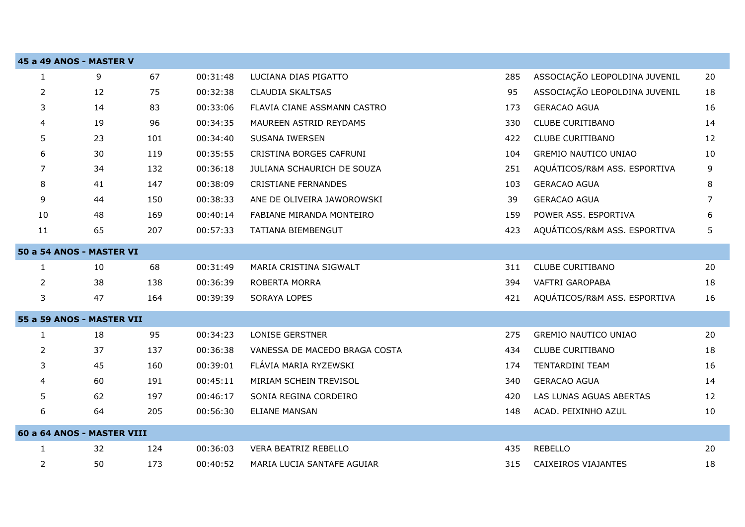|                  | 45 a 49 ANOS - MASTER V    |     |          |                               |     |                               |    |
|------------------|----------------------------|-----|----------|-------------------------------|-----|-------------------------------|----|
| $\mathbf{1}$     | 9                          | 67  | 00:31:48 | LUCIANA DIAS PIGATTO          | 285 | ASSOCIAÇÃO LEOPOLDINA JUVENIL | 20 |
| $\overline{2}$   | 12                         | 75  | 00:32:38 | <b>CLAUDIA SKALTSAS</b>       | 95  | ASSOCIAÇÃO LEOPOLDINA JUVENIL | 18 |
| 3                | 14                         | 83  | 00:33:06 | FLAVIA CIANE ASSMANN CASTRO   | 173 | <b>GERACAO AGUA</b>           | 16 |
| 4                | 19                         | 96  | 00:34:35 | MAUREEN ASTRID REYDAMS        | 330 | <b>CLUBE CURITIBANO</b>       | 14 |
| 5                | 23                         | 101 | 00:34:40 | <b>SUSANA IWERSEN</b>         | 422 | <b>CLUBE CURITIBANO</b>       | 12 |
| 6                | 30                         | 119 | 00:35:55 | CRISTINA BORGES CAFRUNI       | 104 | <b>GREMIO NAUTICO UNIAO</b>   | 10 |
| 7                | 34                         | 132 | 00:36:18 | JULIANA SCHAURICH DE SOUZA    | 251 | AQUÁTICOS/R&M ASS. ESPORTIVA  | 9  |
| 8                | 41                         | 147 | 00:38:09 | <b>CRISTIANE FERNANDES</b>    | 103 | <b>GERACAO AGUA</b>           | 8  |
| 9                | 44                         | 150 | 00:38:33 | ANE DE OLIVEIRA JAWOROWSKI    | 39  | <b>GERACAO AGUA</b>           | 7  |
| 10               | 48                         | 169 | 00:40:14 | FABIANE MIRANDA MONTEIRO      | 159 | POWER ASS. ESPORTIVA          | 6  |
| 11               | 65                         | 207 | 00:57:33 | TATIANA BIEMBENGUT            | 423 | AQUÁTICOS/R&M ASS. ESPORTIVA  | 5  |
|                  | 50 a 54 ANOS - MASTER VI   |     |          |                               |     |                               |    |
| $\mathbf{1}$     | 10                         | 68  | 00:31:49 | MARIA CRISTINA SIGWALT        | 311 | <b>CLUBE CURITIBANO</b>       | 20 |
| $\overline{2}$   | 38                         | 138 | 00:36:39 | <b>ROBERTA MORRA</b>          | 394 | VAFTRI GAROPABA               | 18 |
| 3                | 47                         | 164 | 00:39:39 | <b>SORAYA LOPES</b>           | 421 | AQUÁTICOS/R&M ASS. ESPORTIVA  | 16 |
|                  | 55 a 59 ANOS - MASTER VII  |     |          |                               |     |                               |    |
| $\mathbf{1}$     | 18                         | 95  | 00:34:23 | <b>LONISE GERSTNER</b>        | 275 | <b>GREMIO NAUTICO UNIAO</b>   | 20 |
| $\overline{2}$   | 37                         | 137 | 00:36:38 | VANESSA DE MACEDO BRAGA COSTA | 434 | <b>CLUBE CURITIBANO</b>       | 18 |
| 3                | 45                         | 160 | 00:39:01 | FLÁVIA MARIA RYZEWSKI         | 174 | TENTARDINI TEAM               | 16 |
| 4                | 60                         | 191 | 00:45:11 | MIRIAM SCHEIN TREVISOL        | 340 | <b>GERACAO AGUA</b>           | 14 |
| 5                | 62                         | 197 | 00:46:17 | SONIA REGINA CORDEIRO         | 420 | LAS LUNAS AGUAS ABERTAS       | 12 |
| $\boldsymbol{6}$ | 64                         | 205 | 00:56:30 | <b>ELIANE MANSAN</b>          | 148 | ACAD. PEIXINHO AZUL           | 10 |
|                  | 60 a 64 ANOS - MASTER VIII |     |          |                               |     |                               |    |
| $\mathbf{1}$     | 32                         | 124 | 00:36:03 | VERA BEATRIZ REBELLO          | 435 | <b>REBELLO</b>                | 20 |
| 2                | 50                         | 173 | 00:40:52 | MARIA LUCIA SANTAFE AGUIAR    | 315 | CAIXEIROS VIAJANTES           | 18 |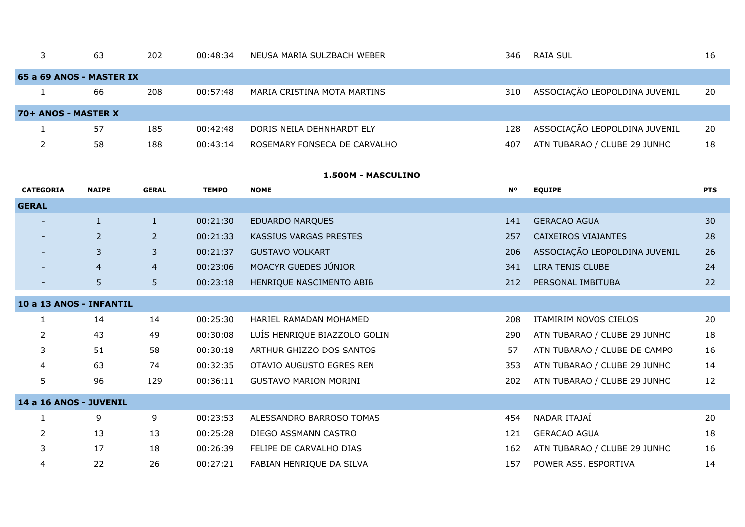|                     | 63                       | 202 | 00:48:34 | NEUSA MARIA SULZBACH WEBER   | 346 | RAIA SUL                      | 16 |
|---------------------|--------------------------|-----|----------|------------------------------|-----|-------------------------------|----|
|                     | 65 a 69 ANOS - MASTER IX |     |          |                              |     |                               |    |
|                     | 66                       | 208 | 00:57:48 | MARIA CRISTINA MOTA MARTINS  | 310 | ASSOCIAÇÃO LEOPOLDINA JUVENIL | 20 |
| 70+ ANOS - MASTER X |                          |     |          |                              |     |                               |    |
|                     | -57                      | 185 | 00:42:48 | DORIS NEILA DEHNHARDT ELY    | 128 | ASSOCIAÇÃO LEOPOLDINA JUVENIL | 20 |
|                     | 58                       | 188 | 00:43:14 | ROSEMARY FONSECA DE CARVALHO | 407 | ATN TUBARAO / CLUBE 29 JUNHO  | 18 |

## **1.500M - MASCULINO**

| <b>CATEGORIA</b>        | <b>NAIPE</b>   | <b>GERAL</b>   | <b>TEMPO</b> | <b>NOME</b>                  | <b>N°</b> | <b>EQUIPE</b>                 | <b>PTS</b> |
|-------------------------|----------------|----------------|--------------|------------------------------|-----------|-------------------------------|------------|
| <b>GERAL</b>            |                |                |              |                              |           |                               |            |
|                         | $\mathbf{1}$   | $\mathbf{1}$   | 00:21:30     | <b>EDUARDO MARQUES</b>       | 141       | <b>GERACAO AGUA</b>           | 30         |
|                         | $\overline{2}$ | $\overline{2}$ | 00:21:33     | KASSIUS VARGAS PRESTES       | 257       | CAIXEIROS VIAJANTES           | 28         |
|                         | 3              | 3              | 00:21:37     | <b>GUSTAVO VOLKART</b>       | 206       | ASSOCIAÇÃO LEOPOLDINA JUVENIL | 26         |
|                         | $\overline{4}$ | $\overline{4}$ | 00:23:06     | MOACYR GUEDES JÚNIOR         | 341       | LIRA TENIS CLUBE              | 24         |
|                         | 5              | 5 <sup>1</sup> | 00:23:18     | HENRIQUE NASCIMENTO ABIB     | 212       | PERSONAL IMBITUBA             | 22         |
| 10 a 13 ANOS - INFANTIL |                |                |              |                              |           |                               |            |
| 1                       | 14             | 14             | 00:25:30     | HARIEL RAMADAN MOHAMED       | 208       | ITAMIRIM NOVOS CIELOS         | 20         |
| 2                       | 43             | 49             | 00:30:08     | LUÍS HENRIQUE BIAZZOLO GOLIN | 290       | ATN TUBARAO / CLUBE 29 JUNHO  | 18         |
| 3                       | 51             | 58             | 00:30:18     | ARTHUR GHIZZO DOS SANTOS     | 57        | ATN TUBARAO / CLUBE DE CAMPO  | 16         |
| 4                       | 63             | 74             | 00:32:35     | OTAVIO AUGUSTO EGRES REN     | 353       | ATN TUBARAO / CLUBE 29 JUNHO  | 14         |
| 5                       | 96             | 129            | 00:36:11     | <b>GUSTAVO MARION MORINI</b> | 202       | ATN TUBARAO / CLUBE 29 JUNHO  | 12         |
| 14 a 16 ANOS - JUVENIL  |                |                |              |                              |           |                               |            |
| 1                       | 9              | 9              | 00:23:53     | ALESSANDRO BARROSO TOMAS     | 454       | NADAR ITAJAÍ                  | 20         |
| 2                       | 13             | 13             | 00:25:28     | DIEGO ASSMANN CASTRO         | 121       | <b>GERACAO AGUA</b>           | 18         |
| 3                       | 17             | 18             | 00:26:39     | FELIPE DE CARVALHO DIAS      | 162       | ATN TUBARAO / CLUBE 29 JUNHO  | 16         |
| 4                       | 22             | 26             | 00:27:21     | FABIAN HENRIQUE DA SILVA     | 157       | POWER ASS. ESPORTIVA          | 14         |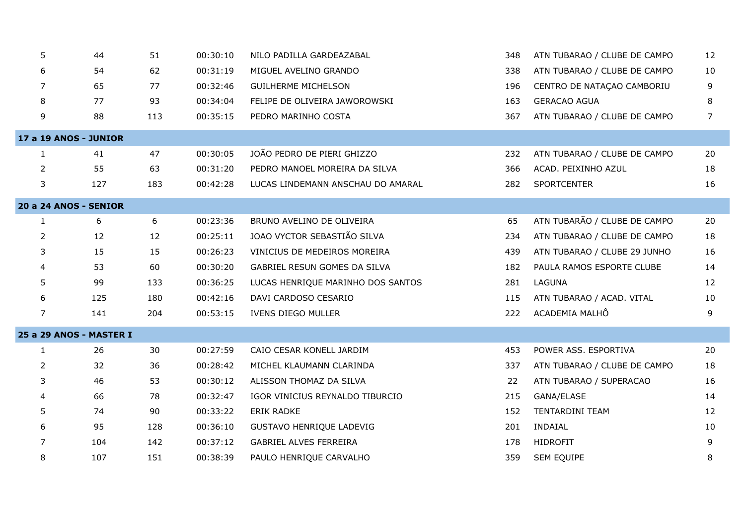| 5              | 44                           | 51  | 00:30:10 | NILO PADILLA GARDEAZABAL          | 348 | ATN TUBARAO / CLUBE DE CAMPO | 12 |
|----------------|------------------------------|-----|----------|-----------------------------------|-----|------------------------------|----|
| 6              | 54                           | 62  | 00:31:19 | MIGUEL AVELINO GRANDO             | 338 | ATN TUBARAO / CLUBE DE CAMPO | 10 |
| 7              | 65                           | 77  | 00:32:46 | <b>GUILHERME MICHELSON</b>        | 196 | CENTRO DE NATAÇÃO CAMBORIU   | 9  |
| 8              | 77                           | 93  | 00:34:04 | FELIPE DE OLIVEIRA JAWOROWSKI     | 163 | <b>GERACAO AGUA</b>          | 8  |
| 9              | 88                           | 113 | 00:35:15 | PEDRO MARINHO COSTA               | 367 | ATN TUBARAO / CLUBE DE CAMPO | 7  |
|                | <b>17 a 19 ANOS - JUNIOR</b> |     |          |                                   |     |                              |    |
| 1              | 41                           | 47  | 00:30:05 | JOÃO PEDRO DE PIERI GHIZZO        | 232 | ATN TUBARAO / CLUBE DE CAMPO | 20 |
| $\overline{2}$ | 55                           | 63  | 00:31:20 | PEDRO MANOEL MOREIRA DA SILVA     | 366 | ACAD. PEIXINHO AZUL          | 18 |
| 3              | 127                          | 183 | 00:42:28 | LUCAS LINDEMANN ANSCHAU DO AMARAL | 282 | SPORTCENTER                  | 16 |
|                | 20 a 24 ANOS - SENIOR        |     |          |                                   |     |                              |    |
| $\mathbf{1}$   | 6                            | 6   | 00:23:36 | BRUNO AVELINO DE OLIVEIRA         | 65  | ATN TUBARÃO / CLUBE DE CAMPO | 20 |
| $\overline{2}$ | 12                           | 12  | 00:25:11 | JOAO VYCTOR SEBASTIÃO SILVA       | 234 | ATN TUBARAO / CLUBE DE CAMPO | 18 |
| 3              | 15                           | 15  | 00:26:23 | VINICIUS DE MEDEIROS MOREIRA      | 439 | ATN TUBARAO / CLUBE 29 JUNHO | 16 |
| 4              | 53                           | 60  | 00:30:20 | GABRIEL RESUN GOMES DA SILVA      | 182 | PAULA RAMOS ESPORTE CLUBE    | 14 |
| 5              | 99                           | 133 | 00:36:25 | LUCAS HENRIQUE MARINHO DOS SANTOS | 281 | LAGUNA                       | 12 |
| 6              | 125                          | 180 | 00:42:16 | DAVI CARDOSO CESARIO              | 115 | ATN TUBARAO / ACAD. VITAL    | 10 |
| $\overline{7}$ | 141                          | 204 | 00:53:15 | IVENS DIEGO MULLER                | 222 | ACADEMIA MALHÔ               | 9  |
|                | 25 a 29 ANOS - MASTER I      |     |          |                                   |     |                              |    |
| $\mathbf{1}$   | 26                           | 30  | 00:27:59 | CAIO CESAR KONELL JARDIM          | 453 | POWER ASS. ESPORTIVA         | 20 |
| $\overline{2}$ | 32                           | 36  | 00:28:42 | MICHEL KLAUMANN CLARINDA          | 337 | ATN TUBARAO / CLUBE DE CAMPO | 18 |
| 3              | 46                           | 53  | 00:30:12 | ALISSON THOMAZ DA SILVA           | 22  | ATN TUBARAO / SUPERACAO      | 16 |
| 4              | 66                           | 78  | 00:32:47 | IGOR VINICIUS REYNALDO TIBURCIO   | 215 | GANA/ELASE                   | 14 |
| 5              | 74                           | 90  | 00:33:22 | ERIK RADKE                        | 152 | TENTARDINI TEAM              | 12 |
| 6              | 95                           | 128 | 00:36:10 | GUSTAVO HENRIQUE LADEVIG          | 201 | INDAIAL                      | 10 |
| 7              | 104                          | 142 | 00:37:12 | GABRIEL ALVES FERREIRA            | 178 | <b>HIDROFIT</b>              | 9  |
| 8              | 107                          | 151 | 00:38:39 | PAULO HENRIQUE CARVALHO           | 359 | <b>SEM EQUIPE</b>            | 8  |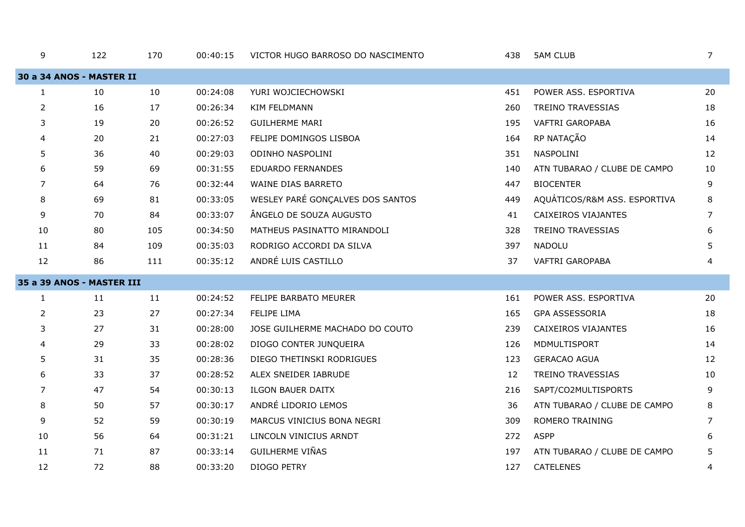| 9              | 122                       | 170 | 00:40:15 | VICTOR HUGO BARROSO DO NASCIMENTO | 438 | <b>5AM CLUB</b>              | 7  |
|----------------|---------------------------|-----|----------|-----------------------------------|-----|------------------------------|----|
|                | 30 a 34 ANOS - MASTER II  |     |          |                                   |     |                              |    |
| $\mathbf{1}$   | 10                        | 10  | 00:24:08 | YURI WOJCIECHOWSKI                | 451 | POWER ASS. ESPORTIVA         | 20 |
| $\overline{2}$ | 16                        | 17  | 00:26:34 | <b>KIM FELDMANN</b>               | 260 | <b>TREINO TRAVESSIAS</b>     | 18 |
| 3              | 19                        | 20  | 00:26:52 | <b>GUILHERME MARI</b>             | 195 | VAFTRI GAROPABA              | 16 |
| 4              | 20                        | 21  | 00:27:03 | FELIPE DOMINGOS LISBOA            | 164 | RP NATAÇÃO                   | 14 |
| 5              | 36                        | 40  | 00:29:03 | ODINHO NASPOLINI                  | 351 | NASPOLINI                    | 12 |
| 6              | 59                        | 69  | 00:31:55 | <b>EDUARDO FERNANDES</b>          | 140 | ATN TUBARAO / CLUBE DE CAMPO | 10 |
| 7              | 64                        | 76  | 00:32:44 | WAINE DIAS BARRETO                | 447 | <b>BIOCENTER</b>             | 9  |
| 8              | 69                        | 81  | 00:33:05 | WESLEY PARÉ GONÇALVES DOS SANTOS  | 449 | AQUÁTICOS/R&M ASS. ESPORTIVA | 8  |
| 9              | 70                        | 84  | 00:33:07 | ÂNGELO DE SOUZA AUGUSTO           | 41  | CAIXEIROS VIAJANTES          | 7  |
| 10             | 80                        | 105 | 00:34:50 | MATHEUS PASINATTO MIRANDOLI       | 328 | TREINO TRAVESSIAS            | 6  |
| 11             | 84                        | 109 | 00:35:03 | RODRIGO ACCORDI DA SILVA          | 397 | <b>NADOLU</b>                | 5  |
| 12             | 86                        | 111 | 00:35:12 | ANDRÉ LUIS CASTILLO               | 37  | <b>VAFTRI GAROPABA</b>       | 4  |
|                | 35 a 39 ANOS - MASTER III |     |          |                                   |     |                              |    |
| 1              | 11                        | 11  | 00:24:52 | FELIPE BARBATO MEURER             | 161 | POWER ASS. ESPORTIVA         | 20 |
| $\overline{2}$ | 23                        | 27  | 00:27:34 | FELIPE LIMA                       | 165 | GPA ASSESSORIA               | 18 |
| 3              | 27                        | 31  | 00:28:00 | JOSE GUILHERME MACHADO DO COUTO   | 239 | CAIXEIROS VIAJANTES          | 16 |
| 4              | 29                        | 33  | 00:28:02 | DIOGO CONTER JUNQUEIRA            | 126 | MDMULTISPORT                 | 14 |
| 5              | 31                        | 35  | 00:28:36 | DIEGO THETINSKI RODRIGUES         | 123 | <b>GERACAO AGUA</b>          | 12 |
| 6              | 33                        | 37  | 00:28:52 | ALEX SNEIDER IABRUDE              | 12  | TREINO TRAVESSIAS            | 10 |
| 7              | 47                        | 54  | 00:30:13 | <b>ILGON BAUER DAITX</b>          | 216 | SAPT/CO2MULTISPORTS          | 9  |
| 8              | 50                        | 57  | 00:30:17 | ANDRÉ LIDORIO LEMOS               | 36  | ATN TUBARAO / CLUBE DE CAMPO | 8  |
| 9              | 52                        | 59  | 00:30:19 | MARCUS VINICIUS BONA NEGRI        | 309 | ROMERO TRAINING              | 7  |
| 10             | 56                        | 64  | 00:31:21 | LINCOLN VINICIUS ARNDT            | 272 | <b>ASPP</b>                  | 6  |
| 11             | 71                        | 87  | 00:33:14 | <b>GUILHERME VIÑAS</b>            | 197 | ATN TUBARAO / CLUBE DE CAMPO | 5  |
| 12             | 72                        | 88  | 00:33:20 | DIOGO PETRY                       | 127 | <b>CATELENES</b>             | 4  |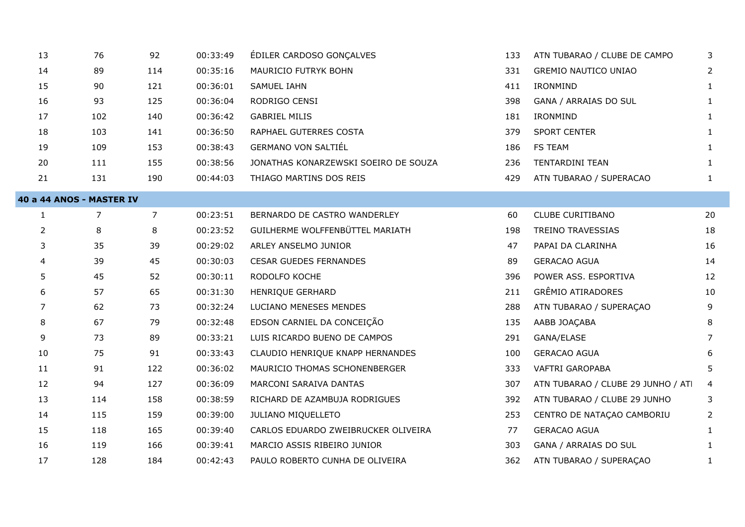| 13             | 76                       | 92             | 00:33:49 | ÉDILER CARDOSO GONÇALVES             | 133 | ATN TUBARAO / CLUBE DE CAMPO       | 3              |
|----------------|--------------------------|----------------|----------|--------------------------------------|-----|------------------------------------|----------------|
| 14             | 89                       | 114            | 00:35:16 | MAURICIO FUTRYK BOHN                 | 331 | <b>GREMIO NAUTICO UNIAO</b>        | $\overline{2}$ |
| 15             | 90                       | 121            | 00:36:01 | SAMUEL IAHN                          | 411 | IRONMIND                           | 1              |
| 16             | 93                       | 125            | 00:36:04 | RODRIGO CENSI                        | 398 | GANA / ARRAIAS DO SUL              | $\mathbf{1}$   |
| 17             | 102                      | 140            | 00:36:42 | <b>GABRIEL MILIS</b>                 | 181 | IRONMIND                           | $\mathbf{1}$   |
| 18             | 103                      | 141            | 00:36:50 | RAPHAEL GUTERRES COSTA               | 379 | <b>SPORT CENTER</b>                | $\mathbf{1}$   |
| 19             | 109                      | 153            | 00:38:43 | <b>GERMANO VON SALTIÉL</b>           | 186 | FS TEAM                            | 1              |
| 20             | 111                      | 155            | 00:38:56 | JONATHAS KONARZEWSKI SOEIRO DE SOUZA | 236 | <b>TENTARDINI TEAN</b>             | $\mathbf{1}$   |
| 21             | 131                      | 190            | 00:44:03 | THIAGO MARTINS DOS REIS              | 429 | ATN TUBARAO / SUPERACAO            | $\mathbf{1}$   |
|                | 40 a 44 ANOS - MASTER IV |                |          |                                      |     |                                    |                |
| $\mathbf{1}$   | $\overline{7}$           | $\overline{7}$ | 00:23:51 | BERNARDO DE CASTRO WANDERLEY         | 60  | CLUBE CURITIBANO                   | 20             |
| $\overline{2}$ | 8                        | 8              | 00:23:52 | GUILHERME WOLFFENBÜTTEL MARIATH      | 198 | TREINO TRAVESSIAS                  | 18             |
| 3              | 35                       | 39             | 00:29:02 | ARLEY ANSELMO JUNIOR                 | 47  | PAPAI DA CLARINHA                  | 16             |
| 4              | 39                       | 45             | 00:30:03 | <b>CESAR GUEDES FERNANDES</b>        | 89  | <b>GERACAO AGUA</b>                | 14             |
| 5              | 45                       | 52             | 00:30:11 | RODOLFO KOCHE                        | 396 | POWER ASS. ESPORTIVA               | 12             |
| 6              | 57                       | 65             | 00:31:30 | HENRIQUE GERHARD                     | 211 | GRÊMIO ATIRADORES                  | 10             |
| 7              | 62                       | 73             | 00:32:24 | LUCIANO MENESES MENDES               | 288 | ATN TUBARAO / SUPERAÇAO            | 9              |
| 8              | 67                       | 79             | 00:32:48 | EDSON CARNIEL DA CONCEIÇÃO           | 135 | AABB JOAÇABA                       | 8              |
| 9              | 73                       | 89             | 00:33:21 | LUIS RICARDO BUENO DE CAMPOS         | 291 | GANA/ELASE                         | 7              |
| 10             | 75                       | 91             | 00:33:43 | CLAUDIO HENRIQUE KNAPP HERNANDES     | 100 | <b>GERACAO AGUA</b>                | 6              |
| 11             | 91                       | 122            | 00:36:02 | MAURICIO THOMAS SCHONENBERGER        | 333 | VAFTRI GAROPABA                    | 5.             |
| 12             | 94                       | 127            | 00:36:09 | MARCONI SARAIVA DANTAS               | 307 | ATN TUBARAO / CLUBE 29 JUNHO / ATI | 4              |
| 13             | 114                      | 158            | 00:38:59 | RICHARD DE AZAMBUJA RODRIGUES        | 392 | ATN TUBARAO / CLUBE 29 JUNHO       | 3              |
| 14             | 115                      | 159            | 00:39:00 | JULIANO MIQUELLETO                   | 253 | CENTRO DE NATAÇÃO CAMBORIU         | $\overline{2}$ |
| 15             | 118                      | 165            | 00:39:40 | CARLOS EDUARDO ZWEIBRUCKER OLIVEIRA  | 77  | <b>GERACAO AGUA</b>                | 1              |
| 16             | 119                      | 166            | 00:39:41 | MARCIO ASSIS RIBEIRO JUNIOR          | 303 | GANA / ARRAIAS DO SUL              | 1              |
| 17             | 128                      | 184            | 00:42:43 | PAULO ROBERTO CUNHA DE OLIVEIRA      | 362 | ATN TUBARAO / SUPERAÇAO            | $\mathbf{1}$   |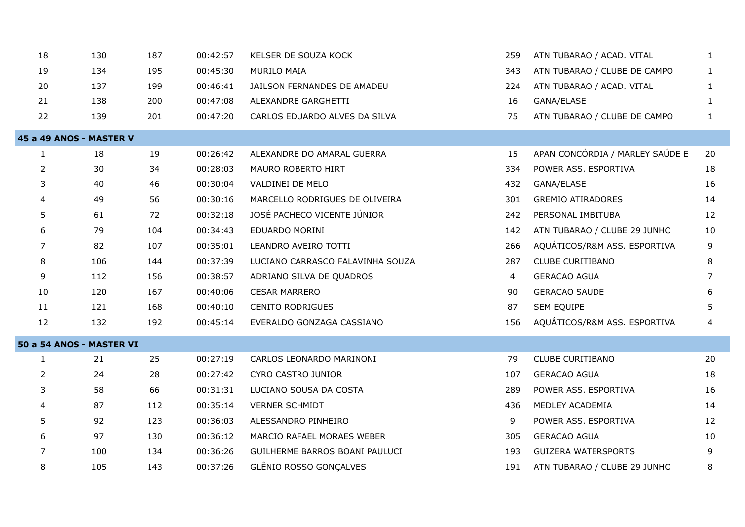| 18             | 130                      | 187 | 00:42:57 | KELSER DE SOUZA KOCK             | 259 | ATN TUBARAO / ACAD. VITAL       | $\mathbf{1}$   |
|----------------|--------------------------|-----|----------|----------------------------------|-----|---------------------------------|----------------|
| 19             | 134                      | 195 | 00:45:30 | <b>MURILO MAIA</b>               | 343 | ATN TUBARAO / CLUBE DE CAMPO    | $\mathbf{1}$   |
| 20             | 137                      | 199 | 00:46:41 | JAILSON FERNANDES DE AMADEU      | 224 | ATN TUBARAO / ACAD. VITAL       | $\mathbf{1}$   |
| 21             | 138                      | 200 | 00:47:08 | ALEXANDRE GARGHETTI              | 16  | GANA/ELASE                      | $\mathbf{1}$   |
| 22             | 139                      | 201 | 00:47:20 | CARLOS EDUARDO ALVES DA SILVA    | 75  | ATN TUBARAO / CLUBE DE CAMPO    | $\mathbf{1}$   |
|                | 45 a 49 ANOS - MASTER V  |     |          |                                  |     |                                 |                |
| 1              | 18                       | 19  | 00:26:42 | ALEXANDRE DO AMARAL GUERRA       | 15  | APAN CONCÓRDIA / MARLEY SAÚDE E | 20             |
| $\overline{2}$ | 30                       | 34  | 00:28:03 | MAURO ROBERTO HIRT               | 334 | POWER ASS. ESPORTIVA            | 18             |
| 3              | 40                       | 46  | 00:30:04 | VALDINEI DE MELO                 | 432 | GANA/ELASE                      | 16             |
| 4              | 49                       | 56  | 00:30:16 | MARCELLO RODRIGUES DE OLIVEIRA   | 301 | <b>GREMIO ATIRADORES</b>        | 14             |
| 5              | 61                       | 72  | 00:32:18 | JOSÉ PACHECO VICENTE JÚNIOR      | 242 | PERSONAL IMBITUBA               | 12             |
| 6              | 79                       | 104 | 00:34:43 | EDUARDO MORINI                   | 142 | ATN TUBARAO / CLUBE 29 JUNHO    | 10             |
| 7              | 82                       | 107 | 00:35:01 | LEANDRO AVEIRO TOTTI             | 266 | AQUÁTICOS/R&M ASS. ESPORTIVA    | 9              |
| 8              | 106                      | 144 | 00:37:39 | LUCIANO CARRASCO FALAVINHA SOUZA | 287 | <b>CLUBE CURITIBANO</b>         | 8              |
| 9              | 112                      | 156 | 00:38:57 | ADRIANO SILVA DE QUADROS         | 4   | <b>GERACAO AGUA</b>             | $\overline{7}$ |
| 10             | 120                      | 167 | 00:40:06 | <b>CESAR MARRERO</b>             | 90  | <b>GERACAO SAUDE</b>            | 6              |
| 11             | 121                      | 168 | 00:40:10 | <b>CENITO RODRIGUES</b>          | 87  | SEM EQUIPE                      | 5              |
| 12             | 132                      | 192 | 00:45:14 | EVERALDO GONZAGA CASSIANO        | 156 | AQUÁTICOS/R&M ASS. ESPORTIVA    | 4              |
|                | 50 a 54 ANOS - MASTER VI |     |          |                                  |     |                                 |                |
| $\mathbf{1}$   | 21                       | 25  | 00:27:19 | CARLOS LEONARDO MARINONI         | 79  | <b>CLUBE CURITIBANO</b>         | 20             |
| $\overline{2}$ | 24                       | 28  | 00:27:42 | CYRO CASTRO JUNIOR               | 107 | <b>GERACAO AGUA</b>             | 18             |
| 3              | 58                       | 66  | 00:31:31 | LUCIANO SOUSA DA COSTA           | 289 | POWER ASS. ESPORTIVA            | 16             |
| 4              | 87                       | 112 | 00:35:14 | <b>VERNER SCHMIDT</b>            | 436 | MEDLEY ACADEMIA                 | 14             |
| 5              | 92                       | 123 | 00:36:03 | ALESSANDRO PINHEIRO              | 9   | POWER ASS. ESPORTIVA            | 12             |
| 6              | 97                       | 130 | 00:36:12 | MARCIO RAFAEL MORAES WEBER       | 305 | <b>GERACAO AGUA</b>             | 10             |
| 7              | 100                      | 134 | 00:36:26 | GUILHERME BARROS BOANI PAULUCI   | 193 | <b>GUIZERA WATERSPORTS</b>      | 9              |
| 8              | 105                      | 143 | 00:37:26 | GLÊNIO ROSSO GONÇALVES           | 191 | ATN TUBARAO / CLUBE 29 JUNHO    | 8              |
|                |                          |     |          |                                  |     |                                 |                |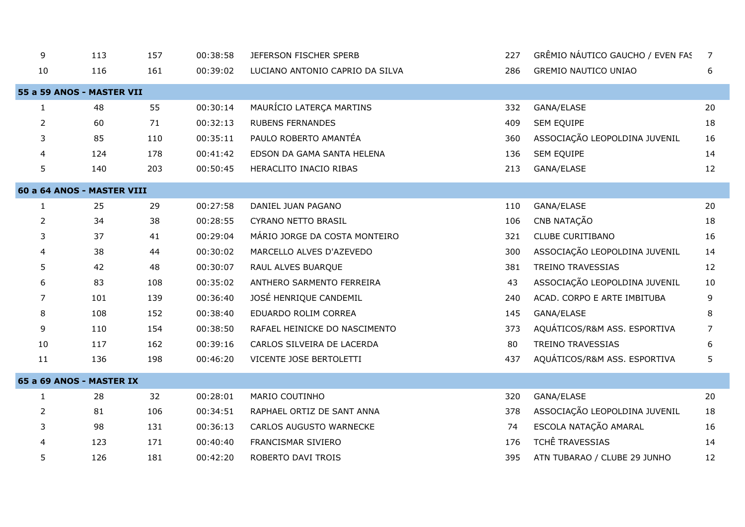| 9              | 113                        | 157 | 00:38:58 | JEFERSON FISCHER SPERB          | 227 | GRÊMIO NÁUTICO GAUCHO / EVEN FAS | $\overline{7}$ |
|----------------|----------------------------|-----|----------|---------------------------------|-----|----------------------------------|----------------|
| 10             | 116                        | 161 | 00:39:02 | LUCIANO ANTONIO CAPRIO DA SILVA | 286 | <b>GREMIO NAUTICO UNIAO</b>      | 6              |
|                | 55 a 59 ANOS - MASTER VII  |     |          |                                 |     |                                  |                |
| 1              | 48                         | 55  | 00:30:14 | MAURÍCIO LATERÇA MARTINS        | 332 | GANA/ELASE                       | 20             |
| $\overline{2}$ | 60                         | 71  | 00:32:13 | <b>RUBENS FERNANDES</b>         | 409 | SEM EQUIPE                       | 18             |
| 3              | 85                         | 110 | 00:35:11 | PAULO ROBERTO AMANTÉA           | 360 | ASSOCIAÇÃO LEOPOLDINA JUVENIL    | 16             |
| 4              | 124                        | 178 | 00:41:42 | EDSON DA GAMA SANTA HELENA      | 136 | SEM EQUIPE                       | 14             |
| 5              | 140                        | 203 | 00:50:45 | HERACLITO INACIO RIBAS          | 213 | GANA/ELASE                       | 12             |
|                | 60 a 64 ANOS - MASTER VIII |     |          |                                 |     |                                  |                |
| $\mathbf{1}$   | 25                         | 29  | 00:27:58 | DANIEL JUAN PAGANO              | 110 | GANA/ELASE                       | 20             |
| $\overline{2}$ | 34                         | 38  | 00:28:55 | <b>CYRANO NETTO BRASIL</b>      | 106 | CNB NATAÇÃO                      | 18             |
| 3              | 37                         | 41  | 00:29:04 | MÁRIO JORGE DA COSTA MONTEIRO   | 321 | <b>CLUBE CURITIBANO</b>          | 16             |
| 4              | 38                         | 44  | 00:30:02 | MARCELLO ALVES D'AZEVEDO        | 300 | ASSOCIAÇÃO LEOPOLDINA JUVENIL    | 14             |
| 5              | 42                         | 48  | 00:30:07 | RAUL ALVES BUARQUE              | 381 | <b>TREINO TRAVESSIAS</b>         | 12             |
| 6              | 83                         | 108 | 00:35:02 | ANTHERO SARMENTO FERREIRA       | 43  | ASSOCIAÇÃO LEOPOLDINA JUVENIL    | 10             |
| 7              | 101                        | 139 | 00:36:40 | JOSÉ HENRIQUE CANDEMIL          | 240 | ACAD. CORPO E ARTE IMBITUBA      | 9              |
| 8              | 108                        | 152 | 00:38:40 | EDUARDO ROLIM CORREA            | 145 | GANA/ELASE                       | 8              |
| 9              | 110                        | 154 | 00:38:50 | RAFAEL HEINICKE DO NASCIMENTO   | 373 | AQUÁTICOS/R&M ASS. ESPORTIVA     | $\overline{7}$ |
| 10             | 117                        | 162 | 00:39:16 | CARLOS SILVEIRA DE LACERDA      | 80  | <b>TREINO TRAVESSIAS</b>         | 6              |
| 11             | 136                        | 198 | 00:46:20 | VICENTE JOSE BERTOLETTI         | 437 | AQUÁTICOS/R&M ASS. ESPORTIVA     | 5              |
|                | 65 a 69 ANOS - MASTER IX   |     |          |                                 |     |                                  |                |
| $\mathbf{1}$   | 28                         | 32  | 00:28:01 | MARIO COUTINHO                  | 320 | GANA/ELASE                       | 20             |
| 2              | 81                         | 106 | 00:34:51 | RAPHAEL ORTIZ DE SANT ANNA      | 378 | ASSOCIAÇÃO LEOPOLDINA JUVENIL    | 18             |
| 3              | 98                         | 131 | 00:36:13 | CARLOS AUGUSTO WARNECKE         | 74  | ESCOLA NATAÇÃO AMARAL            | 16             |
| 4              | 123                        | 171 | 00:40:40 | FRANCISMAR SIVIERO              | 176 | TCHÊ TRAVESSIAS                  | 14             |
| 5              | 126                        | 181 | 00:42:20 | ROBERTO DAVI TROIS              | 395 | ATN TUBARAO / CLUBE 29 JUNHO     | 12             |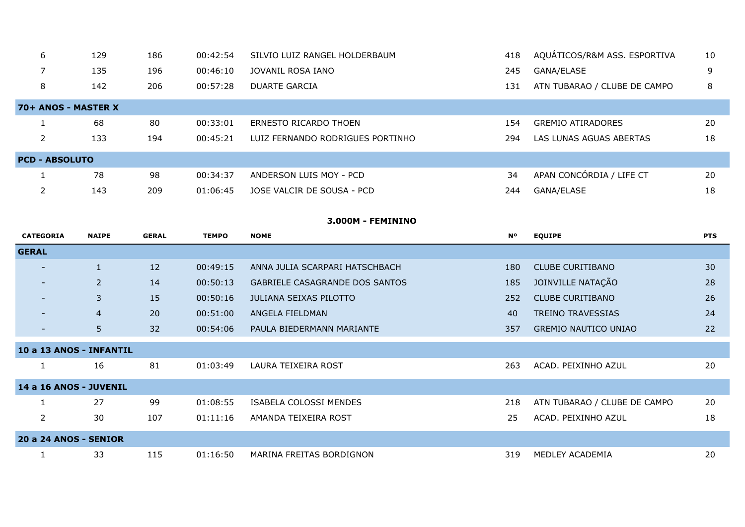| 6                     | 129 | 186 | 00:42:54 | SILVIO LUIZ RANGEL HOLDERBAUM    | 418 | AQUÁTICOS/R&M ASS. ESPORTIVA | 10 |
|-----------------------|-----|-----|----------|----------------------------------|-----|------------------------------|----|
|                       | 135 | 196 | 00:46:10 | JOVANIL ROSA IANO                | 245 | GANA/ELASE                   | 9  |
| 8                     | 142 | 206 | 00:57:28 | DUARTE GARCIA                    | 131 | ATN TUBARAO / CLUBE DE CAMPO | 8  |
| 70+ ANOS - MASTER X   |     |     |          |                                  |     |                              |    |
|                       | 68  | 80  | 00:33:01 | ERNESTO RICARDO THOEN            | 154 | <b>GREMIO ATIRADORES</b>     | 20 |
|                       | 133 | 194 | 00:45:21 | LUIZ FERNANDO RODRIGUES PORTINHO | 294 | LAS LUNAS AGUAS ABERTAS      | 18 |
| <b>PCD - ABSOLUTO</b> |     |     |          |                                  |     |                              |    |
|                       | 78  | 98  | 00:34:37 | ANDERSON LUIS MOY - PCD          | 34  | APAN CONCÓRDIA / LIFE CT     | 20 |
|                       | 143 | 209 | 01:06:45 | JOSE VALCIR DE SOUSA - PCD       | 244 | GANA/ELASE                   | 18 |

#### **3.000M - FEMININO**

| <b>CATEGORIA</b>         | <b>NAIPE</b>   | <b>GERAL</b> | <b>TEMPO</b> | <b>NOME</b>                    | <b>N°</b> | <b>EQUIPE</b>                | <b>PTS</b> |
|--------------------------|----------------|--------------|--------------|--------------------------------|-----------|------------------------------|------------|
| <b>GERAL</b>             |                |              |              |                                |           |                              |            |
|                          | $\mathbf{1}$   | 12           | 00:49:15     | ANNA JULIA SCARPARI HATSCHBACH | 180       | <b>CLUBE CURITIBANO</b>      | 30         |
| $\overline{\phantom{0}}$ | 2              | 14           | 00:50:13     | GABRIELE CASAGRANDE DOS SANTOS | 185       | JOINVILLE NATAÇÃO            | 28         |
|                          | 3              | 15           | 00:50:16     | JULIANA SEIXAS PILOTTO         | 252       | <b>CLUBE CURITIBANO</b>      | 26         |
|                          | $\overline{4}$ | 20           | 00:51:00     | ANGELA FIELDMAN                | 40        | <b>TREINO TRAVESSIAS</b>     | 24         |
|                          | 5 <sup>1</sup> | 32           | 00:54:06     | PAULA BIEDERMANN MARIANTE      | 357       | <b>GREMIO NAUTICO UNIAO</b>  | 22         |
| 10 a 13 ANOS - INFANTIL  |                |              |              |                                |           |                              |            |
|                          |                |              |              |                                |           |                              |            |
|                          | 16             | 81           | 01:03:49     | LAURA TEIXEIRA ROST            | 263       | ACAD. PEIXINHO AZUL          | 20         |
| 14 a 16 ANOS - JUVENIL   |                |              |              |                                |           |                              |            |
|                          | 27             | 99           | 01:08:55     | ISABELA COLOSSI MENDES         | 218       | ATN TUBARAO / CLUBE DE CAMPO | 20         |
| $\overline{2}$           | 30             | 107          | 01:11:16     | AMANDA TEIXEIRA ROST           | 25        | ACAD. PEIXINHO AZUL          | 18         |
| 20 a 24 ANOS - SENIOR    |                |              |              |                                |           |                              |            |
|                          |                |              |              |                                |           |                              |            |
|                          | 33             | 115          | 01:16:50     | MARINA FREITAS BORDIGNON       | 319       | MEDLEY ACADEMIA              | 20         |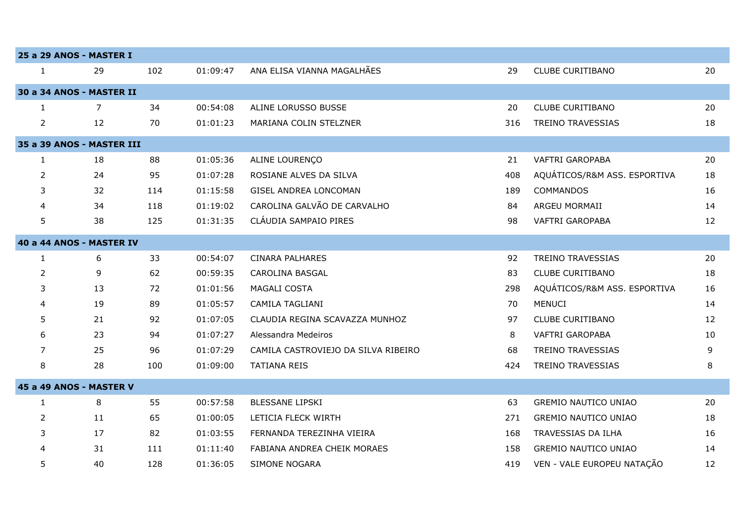|                | 25 a 29 ANOS - MASTER I   |     |          |                                     |     |                              |    |
|----------------|---------------------------|-----|----------|-------------------------------------|-----|------------------------------|----|
| $\mathbf{1}$   | 29                        | 102 | 01:09:47 | ANA ELISA VIANNA MAGALHÃES          | 29  | <b>CLUBE CURITIBANO</b>      | 20 |
|                | 30 a 34 ANOS - MASTER II  |     |          |                                     |     |                              |    |
| 1              | $\overline{7}$            | 34  | 00:54:08 | ALINE LORUSSO BUSSE                 | 20  | <b>CLUBE CURITIBANO</b>      | 20 |
| $\overline{2}$ | 12                        | 70  | 01:01:23 | MARIANA COLIN STELZNER              | 316 | <b>TREINO TRAVESSIAS</b>     | 18 |
|                | 35 a 39 ANOS - MASTER III |     |          |                                     |     |                              |    |
| $\mathbf{1}$   | 18                        | 88  | 01:05:36 | ALINE LOURENÇO                      | 21  | VAFTRI GAROPABA              | 20 |
| $\overline{2}$ | 24                        | 95  | 01:07:28 | ROSIANE ALVES DA SILVA              | 408 | AQUÁTICOS/R&M ASS. ESPORTIVA | 18 |
| 3              | 32                        | 114 | 01:15:58 | GISEL ANDREA LONCOMAN               | 189 | COMMANDOS                    | 16 |
| 4              | 34                        | 118 | 01:19:02 | CAROLINA GALVÃO DE CARVALHO         | 84  | ARGEU MORMAII                | 14 |
| 5              | 38                        | 125 | 01:31:35 | CLÁUDIA SAMPAIO PIRES               | 98  | VAFTRI GAROPABA              | 12 |
|                | 40 a 44 ANOS - MASTER IV  |     |          |                                     |     |                              |    |
| $\mathbf{1}$   | 6                         | 33  | 00:54:07 | <b>CINARA PALHARES</b>              | 92  | <b>TREINO TRAVESSIAS</b>     | 20 |
| $\overline{2}$ | 9                         | 62  | 00:59:35 | <b>CAROLINA BASGAL</b>              | 83  | <b>CLUBE CURITIBANO</b>      | 18 |
| 3              | 13                        | 72  | 01:01:56 | <b>MAGALI COSTA</b>                 | 298 | AQUÁTICOS/R&M ASS. ESPORTIVA | 16 |
| 4              | 19                        | 89  | 01:05:57 | CAMILA TAGLIANI                     | 70  | <b>MENUCI</b>                | 14 |
| 5              | 21                        | 92  | 01:07:05 | CLAUDIA REGINA SCAVAZZA MUNHOZ      | 97  | <b>CLUBE CURITIBANO</b>      | 12 |
| 6              | 23                        | 94  | 01:07:27 | Alessandra Medeiros                 | 8   | VAFTRI GAROPABA              | 10 |
| $\overline{7}$ | 25                        | 96  | 01:07:29 | CAMILA CASTROVIEJO DA SILVA RIBEIRO | 68  | <b>TREINO TRAVESSIAS</b>     | 9  |
| 8              | 28                        | 100 | 01:09:00 | <b>TATIANA REIS</b>                 | 424 | TREINO TRAVESSIAS            | 8  |
|                | 45 a 49 ANOS - MASTER V   |     |          |                                     |     |                              |    |
| 1              | 8                         | 55  | 00:57:58 | <b>BLESSANE LIPSKI</b>              | 63  | <b>GREMIO NAUTICO UNIAO</b>  | 20 |
| $\overline{2}$ | 11                        | 65  | 01:00:05 | LETICIA FLECK WIRTH                 | 271 | <b>GREMIO NAUTICO UNIAO</b>  | 18 |
| 3              | 17                        | 82  | 01:03:55 | FERNANDA TEREZINHA VIEIRA           | 168 | TRAVESSIAS DA ILHA           | 16 |
| 4              | 31                        | 111 | 01:11:40 | FABIANA ANDREA CHEIK MORAES         | 158 | <b>GREMIO NAUTICO UNIAO</b>  | 14 |
| 5              | 40                        | 128 | 01:36:05 | <b>SIMONE NOGARA</b>                | 419 | VEN - VALE EUROPEU NATAÇÃO   | 12 |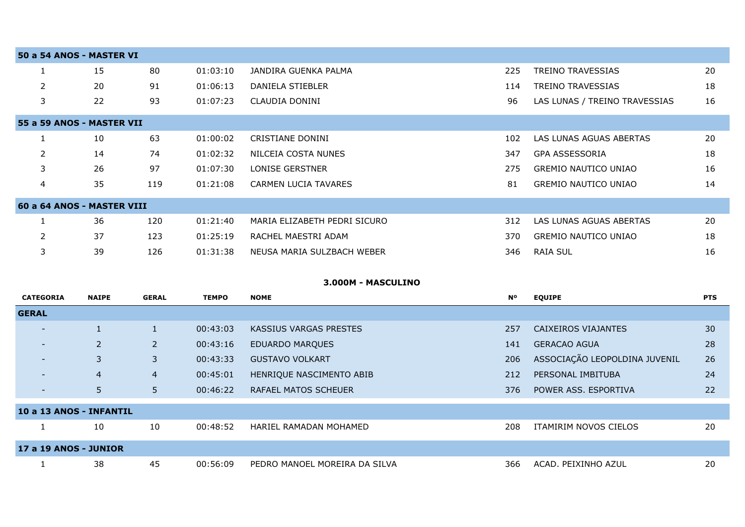| 50 a 54 ANOS - MASTER VI   |    |     |          |                              |     |                               |    |
|----------------------------|----|-----|----------|------------------------------|-----|-------------------------------|----|
|                            | 15 | 80  | 01:03:10 | JANDIRA GUENKA PALMA         | 225 | <b>TREINO TRAVESSIAS</b>      | 20 |
| $\overline{2}$             | 20 | 91  | 01:06:13 | DANIELA STIEBLER             | 114 | TREINO TRAVESSIAS             | 18 |
| 3                          | 22 | 93  | 01:07:23 | CLAUDIA DONINI               | 96  | LAS LUNAS / TREINO TRAVESSIAS | 16 |
| 55 a 59 ANOS - MASTER VII  |    |     |          |                              |     |                               |    |
|                            | 10 | 63  | 01:00:02 | CRISTIANE DONINI             | 102 | LAS LUNAS AGUAS ABERTAS       | 20 |
| $\overline{2}$             | 14 | 74  | 01:02:32 | NILCEIA COSTA NUNES          | 347 | <b>GPA ASSESSORIA</b>         | 18 |
| 3                          | 26 | 97  | 01:07:30 | LONISE GERSTNER              | 275 | <b>GREMIO NAUTICO UNIAO</b>   | 16 |
| 4                          | 35 | 119 | 01:21:08 | <b>CARMEN LUCIA TAVARES</b>  | 81  | <b>GREMIO NAUTICO UNIAO</b>   | 14 |
| 60 a 64 ANOS - MASTER VIII |    |     |          |                              |     |                               |    |
|                            | 36 | 120 | 01:21:40 | MARIA ELIZABETH PEDRI SICURO | 312 | LAS LUNAS AGUAS ABERTAS       | 20 |
| $\overline{2}$             | 37 | 123 | 01:25:19 | RACHEL MAESTRI ADAM          | 370 | <b>GREMIO NAUTICO UNIAO</b>   | 18 |
| 3                          | 39 | 126 | 01:31:38 | NEUSA MARIA SULZBACH WEBER   | 346 | <b>RAIA SUL</b>               | 16 |

## **3.000M - MASCULINO**

| <b>CATEGORIA</b>         | <b>NAIPE</b>   | <b>GERAL</b>   | <b>TEMPO</b> | <b>NOME</b>                   | <b>N°</b> | <b>EQUIPE</b>                 | <b>PTS</b> |
|--------------------------|----------------|----------------|--------------|-------------------------------|-----------|-------------------------------|------------|
| <b>GERAL</b>             |                |                |              |                               |           |                               |            |
| $\sim$                   |                |                | 00:43:03     | KASSIUS VARGAS PRESTES        | 257       | <b>CAIXEIROS VIAJANTES</b>    | 30         |
| $\overline{\phantom{0}}$ | $\overline{2}$ | $\overline{2}$ | 00:43:16     | <b>EDUARDO MARQUES</b>        | 141       | <b>GERACAO AGUA</b>           | 28         |
| $\sim$                   | 3              | 3              | 00:43:33     | <b>GUSTAVO VOLKART</b>        | 206       | ASSOCIAÇÃO LEOPOLDINA JUVENIL | 26         |
|                          | $\overline{4}$ | $\overline{4}$ | 00:45:01     | HENRIQUE NASCIMENTO ABIB      | 212       | PERSONAL IMBITUBA             | 24         |
| $\overline{\phantom{0}}$ | 5 <sup>5</sup> | 5              | 00:46:22     | <b>RAFAEL MATOS SCHEUER</b>   | 376       | POWER ASS. ESPORTIVA          | 22         |
| 10 a 13 ANOS - INFANTIL  |                |                |              |                               |           |                               |            |
|                          | 10             | 10             | 00:48:52     | HARIEL RAMADAN MOHAMED        | 208       | ITAMIRIM NOVOS CIELOS         | 20         |
| 17 a 19 ANOS - JUNIOR    |                |                |              |                               |           |                               |            |
|                          | 38             | 45             | 00:56:09     | PEDRO MANOEL MOREIRA DA SILVA | 366       | ACAD. PEIXINHO AZUL           | 20         |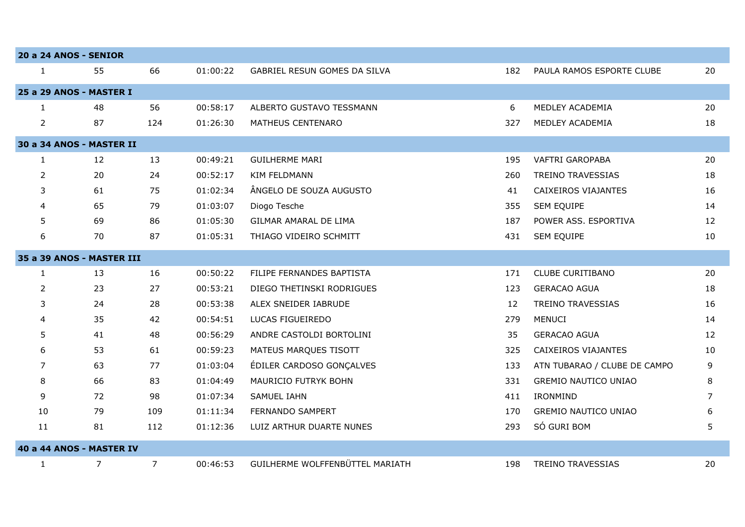| 20 a 24 ANOS - SENIOR |                           |                |          |                                 |     |                              |    |
|-----------------------|---------------------------|----------------|----------|---------------------------------|-----|------------------------------|----|
| $\mathbf{1}$          | 55                        | 66             | 01:00:22 | GABRIEL RESUN GOMES DA SILVA    | 182 | PAULA RAMOS ESPORTE CLUBE    | 20 |
|                       | 25 a 29 ANOS - MASTER I   |                |          |                                 |     |                              |    |
| 1                     | 48                        | 56             | 00:58:17 | ALBERTO GUSTAVO TESSMANN        | 6   | MEDLEY ACADEMIA              | 20 |
| $\overline{2}$        | 87                        | 124            | 01:26:30 | MATHEUS CENTENARO               | 327 | MEDLEY ACADEMIA              | 18 |
|                       | 30 a 34 ANOS - MASTER II  |                |          |                                 |     |                              |    |
| $\mathbf{1}$          | 12                        | 13             | 00:49:21 | <b>GUILHERME MARI</b>           | 195 | <b>VAFTRI GAROPABA</b>       | 20 |
| $\overline{2}$        | 20                        | 24             | 00:52:17 | <b>KIM FELDMANN</b>             | 260 | <b>TREINO TRAVESSIAS</b>     | 18 |
| 3                     | 61                        | 75             | 01:02:34 | ÂNGELO DE SOUZA AUGUSTO         | 41  | CAIXEIROS VIAJANTES          | 16 |
| 4                     | 65                        | 79             | 01:03:07 | Diogo Tesche                    | 355 | SEM EQUIPE                   | 14 |
| 5                     | 69                        | 86             | 01:05:30 | GILMAR AMARAL DE LIMA           | 187 | POWER ASS. ESPORTIVA         | 12 |
| 6                     | 70                        | 87             | 01:05:31 | THIAGO VIDEIRO SCHMITT          | 431 | SEM EQUIPE                   | 10 |
|                       | 35 a 39 ANOS - MASTER III |                |          |                                 |     |                              |    |
| $\mathbf{1}$          | 13                        | 16             | 00:50:22 | FILIPE FERNANDES BAPTISTA       | 171 | <b>CLUBE CURITIBANO</b>      | 20 |
| $\overline{2}$        | 23                        | 27             | 00:53:21 | DIEGO THETINSKI RODRIGUES       | 123 | <b>GERACAO AGUA</b>          | 18 |
| 3                     | 24                        | 28             | 00:53:38 | ALEX SNEIDER IABRUDE            | 12  | TREINO TRAVESSIAS            | 16 |
| 4                     | 35                        | 42             | 00:54:51 | LUCAS FIGUEIREDO                | 279 | <b>MENUCI</b>                | 14 |
| 5                     | 41                        | 48             | 00:56:29 | ANDRE CASTOLDI BORTOLINI        | 35  | <b>GERACAO AGUA</b>          | 12 |
| 6                     | 53                        | 61             | 00:59:23 | MATEUS MARQUES TISOTT           | 325 | CAIXEIROS VIAJANTES          | 10 |
| 7                     | 63                        | 77             | 01:03:04 | ÉDILER CARDOSO GONÇALVES        | 133 | ATN TUBARAO / CLUBE DE CAMPO | 9  |
| 8                     | 66                        | 83             | 01:04:49 | MAURICIO FUTRYK BOHN            | 331 | <b>GREMIO NAUTICO UNIAO</b>  | 8  |
| 9                     | 72                        | 98             | 01:07:34 | <b>SAMUEL IAHN</b>              | 411 | IRONMIND                     | 7  |
| 10                    | 79                        | 109            | 01:11:34 | FERNANDO SAMPERT                | 170 | <b>GREMIO NAUTICO UNIAO</b>  | 6  |
| 11                    | 81                        | 112            | 01:12:36 | LUIZ ARTHUR DUARTE NUNES        | 293 | SÓ GURI BOM                  | 5  |
|                       | 40 a 44 ANOS - MASTER IV  |                |          |                                 |     |                              |    |
| $\mathbf{1}$          | 7                         | $\overline{7}$ | 00:46:53 | GUILHERME WOLFFENBÜTTEL MARIATH | 198 | TREINO TRAVESSIAS            | 20 |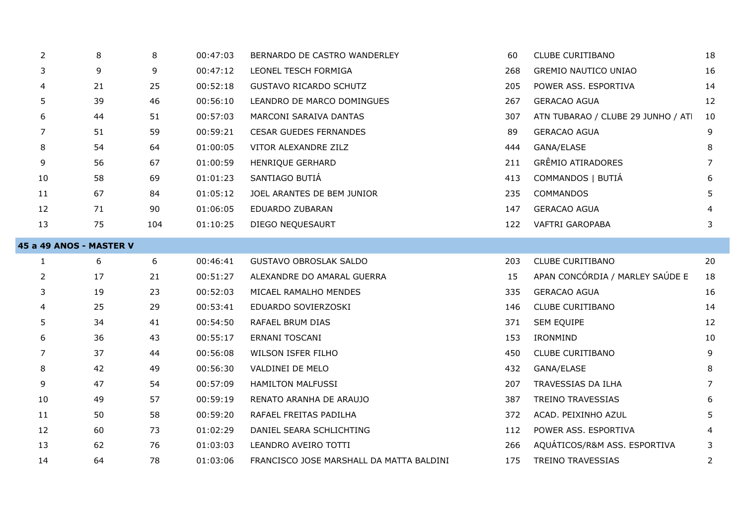| $\overline{2}$          | 8  | 8   | 00:47:03 | BERNARDO DE CASTRO WANDERLEY             | 60  | <b>CLUBE CURITIBANO</b>            | 18 |
|-------------------------|----|-----|----------|------------------------------------------|-----|------------------------------------|----|
| 3                       | 9  | 9   | 00:47:12 | LEONEL TESCH FORMIGA                     | 268 | <b>GREMIO NAUTICO UNIAO</b>        | 16 |
|                         | 21 | 25  | 00:52:18 | <b>GUSTAVO RICARDO SCHUTZ</b>            | 205 | POWER ASS. ESPORTIVA               | 14 |
| 5                       | 39 | 46  | 00:56:10 | LEANDRO DE MARCO DOMINGUES               | 267 | <b>GERACAO AGUA</b>                | 12 |
| 6                       | 44 | 51  | 00:57:03 | MARCONI SARAIVA DANTAS                   | 307 | ATN TUBARAO / CLUBE 29 JUNHO / ATI | 10 |
| 7                       | 51 | 59  | 00:59:21 | <b>CESAR GUEDES FERNANDES</b>            | 89  | <b>GERACAO AGUA</b>                | 9  |
| 8                       | 54 | 64  | 01:00:05 | VITOR ALEXANDRE ZILZ                     | 444 | GANA/ELASE                         | 8  |
| 9                       | 56 | 67  | 01:00:59 | HENRIQUE GERHARD                         | 211 | <b>GRÊMIO ATIRADORES</b>           | 7  |
| 10                      | 58 | 69  | 01:01:23 | SANTIAGO BUTIÁ                           | 413 | COMMANDOS   BUTIÁ                  | 6  |
| 11                      | 67 | 84  | 01:05:12 | JOEL ARANTES DE BEM JUNIOR               | 235 | <b>COMMANDOS</b>                   | 5. |
| 12                      | 71 | 90  | 01:06:05 | EDUARDO ZUBARAN                          | 147 | <b>GERACAO AGUA</b>                |    |
| 13                      | 75 | 104 | 01:10:25 | DIEGO NEQUESAURT                         | 122 | VAFTRI GAROPABA                    | 3  |
| 45 a 49 ANOS - MASTER V |    |     |          |                                          |     |                                    |    |
| $\mathbf{1}$            | 6  | 6   | 00:46:41 | <b>GUSTAVO OBROSLAK SALDO</b>            | 203 | <b>CLUBE CURITIBANO</b>            | 20 |
| 2                       | 17 | 21  | 00:51:27 | ALEXANDRE DO AMARAL GUERRA               | 15  | APAN CONCÓRDIA / MARLEY SAÚDE E    | 18 |
| 3                       | 19 | 23  | 00:52:03 | MICAEL RAMALHO MENDES                    | 335 | <b>GERACAO AGUA</b>                | 16 |
| 4                       | 25 | 29  | 00:53:41 | EDUARDO SOVIERZOSKI                      | 146 | <b>CLUBE CURITIBANO</b>            | 14 |
| 5                       | 34 | 41  | 00:54:50 | RAFAEL BRUM DIAS                         | 371 | SEM EQUIPE                         | 12 |
| 6                       | 36 | 43  | 00:55:17 | ERNANI TOSCANI                           | 153 | IRONMIND                           | 10 |
| 7                       | 37 | 44  | 00:56:08 | WILSON ISFER FILHO                       | 450 | <b>CLUBE CURITIBANO</b>            | 9  |
| 8                       | 42 | 49  | 00:56:30 | VALDINEI DE MELO                         | 432 | GANA/ELASE                         | 8  |
| 9                       | 47 | 54  | 00:57:09 | <b>HAMILTON MALFUSSI</b>                 | 207 | TRAVESSIAS DA ILHA                 | 7  |
| 10                      | 49 | 57  | 00:59:19 | RENATO ARANHA DE ARAUJO                  | 387 | TREINO TRAVESSIAS                  | 6  |
| 11                      | 50 | 58  | 00:59:20 | RAFAEL FREITAS PADILHA                   | 372 | ACAD. PEIXINHO AZUL                | 5  |
| 12                      | 60 | 73  | 01:02:29 | DANIEL SEARA SCHLICHTING                 | 112 | POWER ASS. ESPORTIVA               | 4  |
| 13                      | 62 | 76  | 01:03:03 | LEANDRO AVEIRO TOTTI                     | 266 | AQUÁTICOS/R&M ASS. ESPORTIVA       | 3  |
| 14                      | 64 | 78  | 01:03:06 | FRANCISCO JOSE MARSHALL DA MATTA BALDINI | 175 | <b>TREINO TRAVESSIAS</b>           | 2  |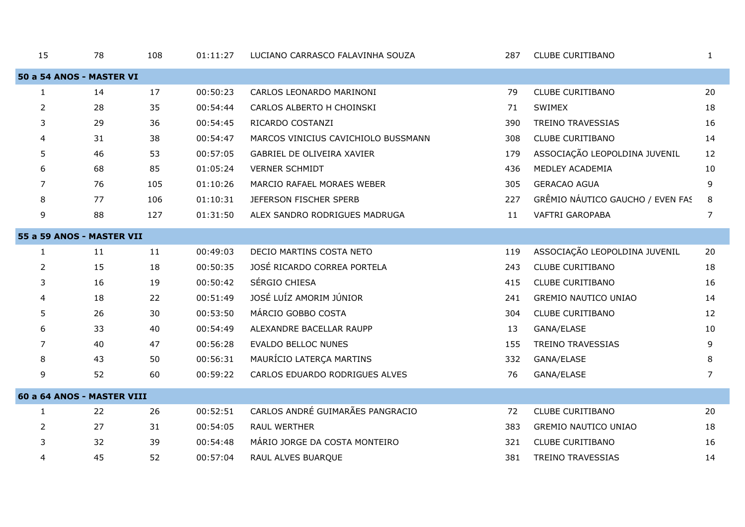| 15                        | 78                         | 108 | 01:11:27 | LUCIANO CARRASCO FALAVINHA SOUZA    | 287 | <b>CLUBE CURITIBANO</b>          | 1  |  |  |  |  |  |
|---------------------------|----------------------------|-----|----------|-------------------------------------|-----|----------------------------------|----|--|--|--|--|--|
| 50 a 54 ANOS - MASTER VI  |                            |     |          |                                     |     |                                  |    |  |  |  |  |  |
| $\mathbf{1}$              | 14                         | 17  | 00:50:23 | CARLOS LEONARDO MARINONI            | 79  | CLUBE CURITIBANO                 | 20 |  |  |  |  |  |
| 2                         | 28                         | 35  | 00:54:44 | CARLOS ALBERTO H CHOINSKI           | 71  | SWIMEX                           | 18 |  |  |  |  |  |
| 3                         | 29                         | 36  | 00:54:45 | RICARDO COSTANZI                    | 390 | <b>TREINO TRAVESSIAS</b>         | 16 |  |  |  |  |  |
| 4                         | 31                         | 38  | 00:54:47 | MARCOS VINICIUS CAVICHIOLO BUSSMANN | 308 | CLUBE CURITIBANO                 | 14 |  |  |  |  |  |
| 5                         | 46                         | 53  | 00:57:05 | GABRIEL DE OLIVEIRA XAVIER          | 179 | ASSOCIAÇÃO LEOPOLDINA JUVENIL    | 12 |  |  |  |  |  |
| 6                         | 68                         | 85  | 01:05:24 | <b>VERNER SCHMIDT</b>               | 436 | MEDLEY ACADEMIA                  | 10 |  |  |  |  |  |
| 7                         | 76                         | 105 | 01:10:26 | MARCIO RAFAEL MORAES WEBER          | 305 | <b>GERACAO AGUA</b>              | 9  |  |  |  |  |  |
| 8                         | 77                         | 106 | 01:10:31 | JEFERSON FISCHER SPERB              | 227 | GRÊMIO NÁUTICO GAUCHO / EVEN FAS | 8  |  |  |  |  |  |
| 9                         | 88                         | 127 | 01:31:50 | ALEX SANDRO RODRIGUES MADRUGA       | 11  | <b>VAFTRI GAROPABA</b>           | 7  |  |  |  |  |  |
| 55 a 59 ANOS - MASTER VII |                            |     |          |                                     |     |                                  |    |  |  |  |  |  |
| $\mathbf{1}$              | 11                         | 11  | 00:49:03 | DECIO MARTINS COSTA NETO            | 119 | ASSOCIAÇÃO LEOPOLDINA JUVENIL    | 20 |  |  |  |  |  |
| $\overline{2}$            | 15                         | 18  | 00:50:35 | JOSÉ RICARDO CORREA PORTELA         | 243 | <b>CLUBE CURITIBANO</b>          | 18 |  |  |  |  |  |
| 3                         | 16                         | 19  | 00:50:42 | SÉRGIO CHIESA                       | 415 | <b>CLUBE CURITIBANO</b>          | 16 |  |  |  |  |  |
| 4                         | 18                         | 22  | 00:51:49 | JOSÉ LUÍZ AMORIM JÚNIOR             | 241 | <b>GREMIO NAUTICO UNIAO</b>      | 14 |  |  |  |  |  |
| 5                         | 26                         | 30  | 00:53:50 | MÁRCIO GOBBO COSTA                  | 304 | <b>CLUBE CURITIBANO</b>          | 12 |  |  |  |  |  |
| 6                         | 33                         | 40  | 00:54:49 | ALEXANDRE BACELLAR RAUPP            | 13  | GANA/ELASE                       | 10 |  |  |  |  |  |
| 7                         | 40                         | 47  | 00:56:28 | <b>EVALDO BELLOC NUNES</b>          | 155 | <b>TREINO TRAVESSIAS</b>         | 9  |  |  |  |  |  |
| 8                         | 43                         | 50  | 00:56:31 | MAURÍCIO LATERÇA MARTINS            | 332 | GANA/ELASE                       | 8  |  |  |  |  |  |
| 9                         | 52                         | 60  | 00:59:22 | CARLOS EDUARDO RODRIGUES ALVES      | 76  | GANA/ELASE                       | 7  |  |  |  |  |  |
|                           | 60 a 64 ANOS - MASTER VIII |     |          |                                     |     |                                  |    |  |  |  |  |  |
| $\mathbf{1}$              | 22                         | 26  | 00:52:51 | CARLOS ANDRÉ GUIMARÃES PANGRACIO    | 72  | <b>CLUBE CURITIBANO</b>          | 20 |  |  |  |  |  |
| 2                         | 27                         | 31  | 00:54:05 | <b>RAUL WERTHER</b>                 | 383 | <b>GREMIO NAUTICO UNIAO</b>      | 18 |  |  |  |  |  |
| 3                         | 32                         | 39  | 00:54:48 | MÁRIO JORGE DA COSTA MONTEIRO       | 321 | CLUBE CURITIBANO                 | 16 |  |  |  |  |  |
| $\overline{4}$            | 45                         | 52  | 00:57:04 | RAUL ALVES BUARQUE                  | 381 | <b>TREINO TRAVESSIAS</b>         | 14 |  |  |  |  |  |